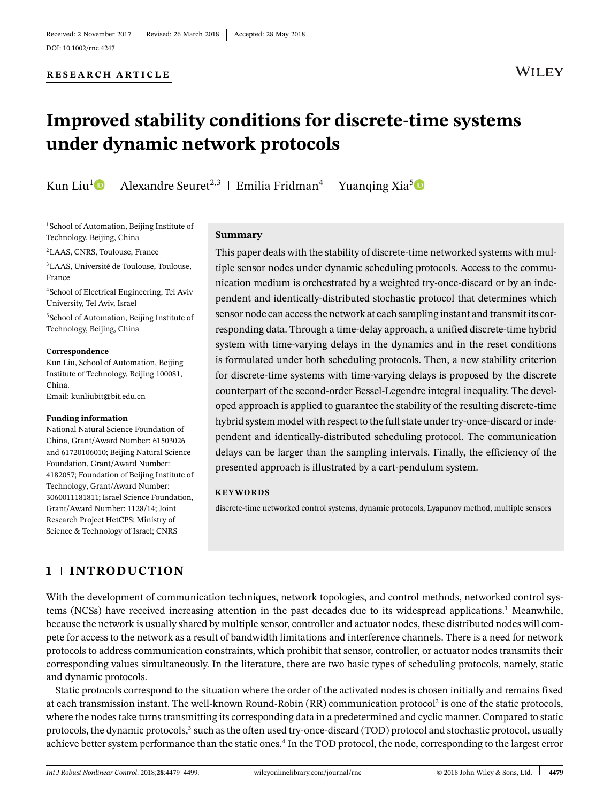#### **RESEARCH ARTICLE**

# **WILEY**

# **Improved stability conditions for discrete-time systems under dynamic network protocols**

Kun Liu<sup>[1](http://orcid.org/0000-0003-3074-7167)</sup> Alexandre Seuret<sup>2,3</sup> | Emilia Fridman<sup>4</sup> | Yuanging Xia<sup>[5](http://orcid.org/0000-0002-5977-4911)</sup>

<sup>1</sup>School of Automation, Beijing Institute of Technology, Beijing, China

2LAAS, CNRS, Toulouse, France

3LAAS, Université de Toulouse, Toulouse, France

4School of Electrical Engineering, Tel Aviv University, Tel Aviv, Israel

<sup>5</sup>School of Automation, Beijing Institute of Technology, Beijing, China

#### **Correspondence**

Kun Liu, School of Automation, Beijing Institute of Technology, Beijing 100081, China. Email: kunliubit@bit.edu.cn

#### **Funding information**

National Natural Science Foundation of China, Grant/Award Number: 61503026 and 61720106010; Beijing Natural Science Foundation, Grant/Award Number: 4182057; Foundation of Beijing Institute of Technology, Grant/Award Number: 3060011181811; Israel Science Foundation, Grant/Award Number: 1128/14; Joint Research Project HetCPS; Ministry of Science & Technology of Israel; CNRS

#### **Summary**

This paper deals with the stability of discrete-time networked systems with multiple sensor nodes under dynamic scheduling protocols. Access to the communication medium is orchestrated by a weighted try-once-discard or by an independent and identically-distributed stochastic protocol that determines which sensor node can access the network at each sampling instant and transmit its corresponding data. Through a time-delay approach, a unified discrete-time hybrid system with time-varying delays in the dynamics and in the reset conditions is formulated under both scheduling protocols. Then, a new stability criterion for discrete-time systems with time-varying delays is proposed by the discrete counterpart of the second-order Bessel-Legendre integral inequality. The developed approach is applied to guarantee the stability of the resulting discrete-time hybrid system model with respect to the full state under try-once-discard or independent and identically-distributed scheduling protocol. The communication delays can be larger than the sampling intervals. Finally, the efficiency of the presented approach is illustrated by a cart-pendulum system.

#### **KEYWORDS**

discrete-time networked control systems, dynamic protocols, Lyapunov method, multiple sensors

# **1 INTRODUCTION**

With the development of communication techniques, network topologies, and control methods, networked control systems (NCSs) have received increasing attention in the past decades due to its widespread applications.<sup>1</sup> Meanwhile, because the network is usually shared by multiple sensor, controller and actuator nodes, these distributed nodes will compete for access to the network as a result of bandwidth limitations and interference channels. There is a need for network protocols to address communication constraints, which prohibit that sensor, controller, or actuator nodes transmits their corresponding values simultaneously. In the literature, there are two basic types of scheduling protocols, namely, static and dynamic protocols.

Static protocols correspond to the situation where the order of the activated nodes is chosen initially and remains fixed at each transmission instant. The well-known Round-Robin (RR) communication protocol<sup>2</sup> is one of the static protocols, where the nodes take turns transmitting its corresponding data in a predetermined and cyclic manner. Compared to static protocols, the dynamic protocols,<sup>3</sup> such as the often used try-once-discard (TOD) protocol and stochastic protocol, usually achieve better system performance than the static ones[.4](#page-19-3) In the TOD protocol, the node, corresponding to the largest error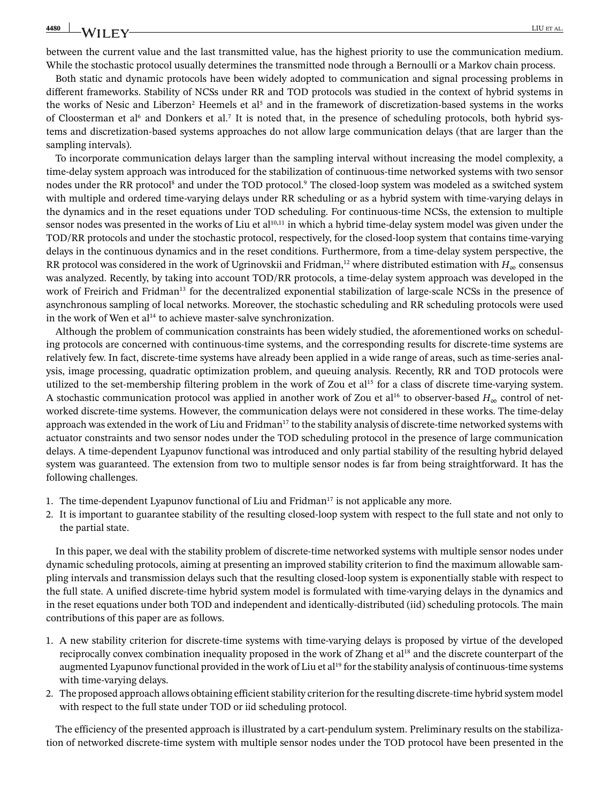between the current value and the last transmitted value, has the highest priority to use the communication medium. While the stochastic protocol usually determines the transmitted node through a Bernoulli or a Markov chain process.

Both static and dynamic protocols have been widely adopted to communication and signal processing problems in different frameworks. Stability of NCSs under RR and TOD protocols was studied in the context of hybrid systems in the works of Nesic and Liberzon<sup>2</sup> Heemels et al<sup>5</sup> and in the framework of discretization-based systems in the works of Cloosterman et al<sup>6</sup> and Donkers et al.<sup>7</sup> It is noted that, in the presence of scheduling protocols, both hybrid systems and discretization-based systems approaches do not allow large communication delays (that are larger than the sampling intervals).

To incorporate communication delays larger than the sampling interval without increasing the model complexity, a time-delay system approach was introduced for the stabilization of continuous-time networked systems with two sensor nodes under the RR protocol<sup>8</sup> and under the TOD protocol.<sup>9</sup> The closed-loop system was modeled as a switched system with multiple and ordered time-varying delays under RR scheduling or as a hybrid system with time-varying delays in the dynamics and in the reset equations under TOD scheduling. For continuous-time NCSs, the extension to multiple sensor nodes was presented in the works of Liu et al $10,11$  $10,11$  in which a hybrid time-delay system model was given under the TOD/RR protocols and under the stochastic protocol, respectively, for the closed-loop system that contains time-varying delays in the continuous dynamics and in the reset conditions. Furthermore, from a time-delay system perspective, the RR protocol was considered in the work of Ugrinovskii and Fridman,<sup>12</sup> where distributed estimation with  $H_{\infty}$  consensus was analyzed. Recently, by taking into account TOD/RR protocols, a time-delay system approach was developed in the work of Freirich and Fridman<sup>13</sup> for the decentralized exponential stabilization of large-scale NCSs in the presence of asynchronous sampling of local networks. Moreover, the stochastic scheduling and RR scheduling protocols were used in the work of Wen et  $al<sup>14</sup>$  to achieve master-salve synchronization.

Although the problem of communication constraints has been widely studied, the aforementioned works on scheduling protocols are concerned with continuous-time systems, and the corresponding results for discrete-time systems are relatively few. In fact, discrete-time systems have already been applied in a wide range of areas, such as time-series analysis, image processing, quadratic optimization problem, and queuing analysis. Recently, RR and TOD protocols were utilized to the set-membership filtering problem in the work of Zou et al<sup>15</sup> for a class of discrete time-varying system. A stochastic communication protocol was applied in another work of Zou et al<sup>16</sup> to observer-based  $H_{\infty}$  control of networked discrete-time systems. However, the communication delays were not considered in these works. The time-delay approach was extended in the work of Liu and Fridman<sup>17</sup> to the stability analysis of discrete-time networked systems with actuator constraints and two sensor nodes under the TOD scheduling protocol in the presence of large communication delays. A time-dependent Lyapunov functional was introduced and only partial stability of the resulting hybrid delayed system was guaranteed. The extension from two to multiple sensor nodes is far from being straightforward. It has the following challenges.

- 1. The time-dependent Lyapunov functional of Liu and Fridman<sup>17</sup> is not applicable any more.
- 2. It is important to guarantee stability of the resulting closed-loop system with respect to the full state and not only to the partial state.

In this paper, we deal with the stability problem of discrete-time networked systems with multiple sensor nodes under dynamic scheduling protocols, aiming at presenting an improved stability criterion to find the maximum allowable sampling intervals and transmission delays such that the resulting closed-loop system is exponentially stable with respect to the full state. A unified discrete-time hybrid system model is formulated with time-varying delays in the dynamics and in the reset equations under both TOD and independent and identically-distributed (iid) scheduling protocols. The main contributions of this paper are as follows.

- 1. A new stability criterion for discrete-time systems with time-varying delays is proposed by virtue of the developed reciprocally convex combination inequality proposed in the work of Zhang et al<sup>18</sup> and the discrete counterpart of the augmented Lyapunov functional provided in the work of Liu et al<sup>19</sup> for the stability analysis of continuous-time systems with time-varying delays.
- 2. The proposed approach allows obtaining efficient stability criterion for the resulting discrete-time hybrid system model with respect to the full state under TOD or iid scheduling protocol.

The efficiency of the presented approach is illustrated by a cart-pendulum system. Preliminary results on the stabilization of networked discrete-time system with multiple sensor nodes under the TOD protocol have been presented in the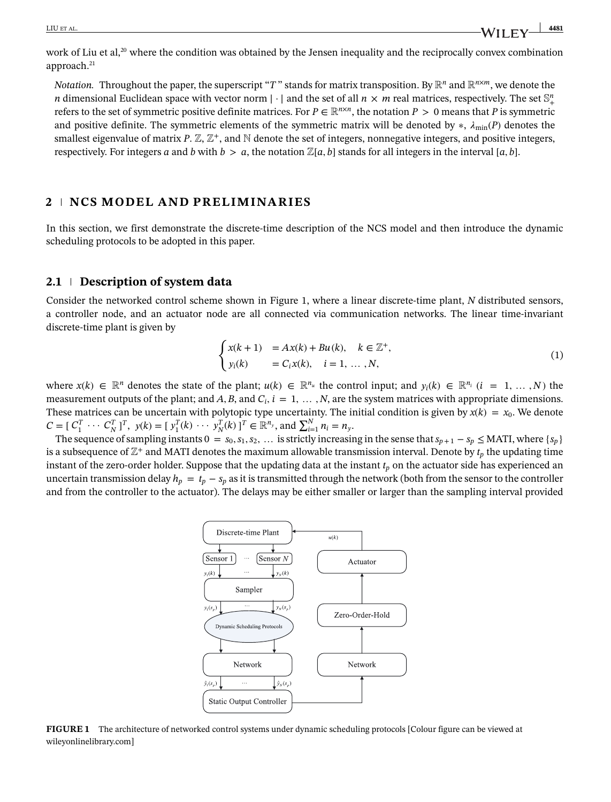work of Liu et al,<sup>20</sup> where the condition was obtained by the Jensen inequality and the reciprocally convex combination approach.<sup>21</sup>

*Notation.* Throughout the paper, the superscript "*T*" stands for matrix transposition. By  $\mathbb{R}^n$  and  $\mathbb{R}^{n \times m}$ , we denote the *n* dimensional Euclidean space with vector norm  $|\cdot|$  and the set of all  $n \times m$  real matrices, respectively. The set  $\mathbb{S}^n_+$ refers to the set of symmetric positive definite matrices. For  $P \in \mathbb{R}^{n \times n}$ , the notation  $P > 0$  means that P is symmetric and positive definite. The symmetric elements of the symmetric matrix will be denoted by  $\ast$ ,  $\lambda_{\min}(P)$  denotes the smallest eigenvalue of matrix  $P \mathbb{Z}, \mathbb{Z}^+$ , and  $\mathbb N$  denote the set of integers, nonnegative integers, and positive integers, respectively. For integers a and b with  $b > a$ , the notation  $\mathbb{Z}[a, b]$  stands for all integers in the interval  $[a, b]$ .

# **2 NCS MODEL AND PRELIMINARIES**

In this section, we first demonstrate the discrete-time description of the NCS model and then introduce the dynamic scheduling protocols to be adopted in this paper.

# **2.1 Description of system data**

Consider the networked control scheme shown in Figure [1,](#page-2-0) where a linear discrete-time plant, *N* distributed sensors, a controller node, and an actuator node are all connected via communication networks. The linear time-invariant discrete-time plant is given by  $\overline{a}$ 

<span id="page-2-1"></span>
$$
\begin{cases}\nx(k+1) &= Ax(k) + Bu(k), \quad k \in \mathbb{Z}^+, \\
y_i(k) &= C_i x(k), \quad i = 1, \dots, N,\n\end{cases} \tag{1}
$$

where  $x(k) \in \mathbb{R}^n$  denotes the state of the plant;  $u(k) \in \mathbb{R}^{n_u}$  the control input; and  $y_i(k) \in \mathbb{R}^{n_i}$   $(i = 1, ..., N)$  the measurement outputs of the plant; and  $A$ ,  $B$ , and  $C_i$ ,  $i = 1, \ldots, N$ , are the system matrices with appropriate dimensions. These matrices can be uncertain with polytopic type uncertainty. The initial condition is given by  $x(k) = x_0$ . We denote *C* =  $[C_1^T \cdots C_N^T]^T$ ,  $y(k) = [y_1^T(k) \cdots y_N^T(k)]^T \in \mathbb{R}^{n_y}$ , and  $\sum_{i=1}^N n_i = n_y$ .

The sequence of sampling instants  $0 = s_0, s_1, s_2, \ldots$  is strictly increasing in the sense that  $s_{p+1} - s_p \leq \text{MATI}$ , where  $\{s_p\}$ is a subsequence of  $\mathbb{Z}^+$  and MATI denotes the maximum allowable transmission interval. Denote by  $t_p$  the updating time instant of the zero-order holder. Suppose that the updating data at the instant  $t_p$  on the actuator side has experienced an uncertain transmission delay  $h_p = t_p - s_p$  as it is transmitted through the network (both from the sensor to the controller and from the controller to the actuator). The delays may be either smaller or larger than the sampling interval provided



<span id="page-2-0"></span>**FIGURE 1** The architecture of networked control systems under dynamic scheduling protocols [Colour figure can be viewed at [wileyonlinelibrary.com\]](http://wileyonlinelibrary.com)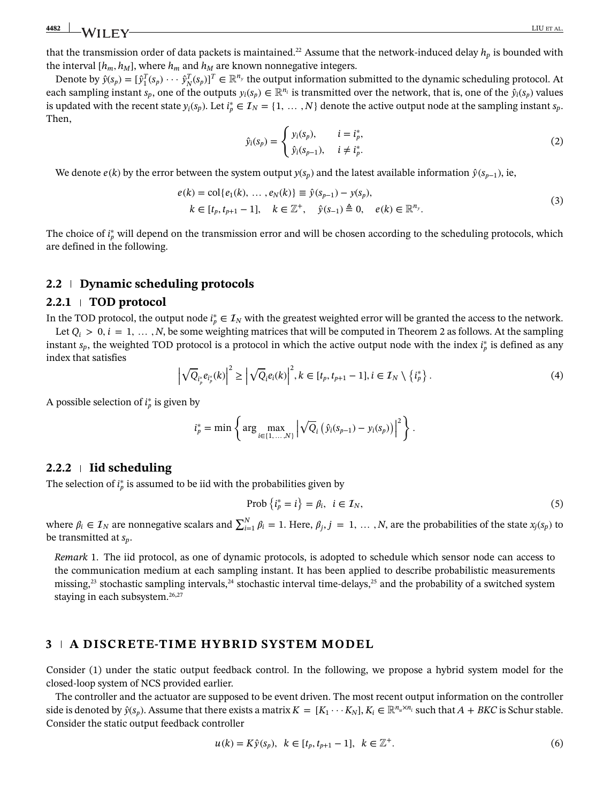that the transmission order of data packets is maintained.<sup>22</sup> Assume that the network-induced delay  $h_p$  is bounded with the interval  $[h_m, h_M]$ , where  $h_m$  and  $h_M$  are known nonnegative integers.

<span id="page-3-1"></span>Denote by  $\hat{y}(s_p) = [\hat{y}_1^T(s_p) \cdots \hat{y}_N^T(s_p)]^T \in \mathbb{R}^{n_y}$  the output information submitted to the dynamic scheduling protocol. At each sampling instant  $s_p$ , one of the outputs  $y_i(s_p) \in \mathbb{R}^{n_i}$  is transmitted over the network, that is, one of the  $\hat{y}_i(s_p)$  values is updated with the recent state  $y_i(s_p)$ . Let  $i_p^* \in I_N = \{1, ..., N\}$  denote the active output node at the sampling instant  $s_p$ . Then,

<span id="page-3-3"></span>
$$
\hat{y}_i(s_p) = \begin{cases} y_i(s_p), & i = i_p^*, \\ \hat{y}_i(s_{p-1}), & i \neq i_p^*. \end{cases}
$$
\n(2)

We denote *e*(*k*) by the error between the system output  $y(s_p)$  and the latest available information  $\hat{y}(s_{p-1})$ , ie,

$$
e(k) = \text{col}\{e_1(k), \dots, e_N(k)\} \equiv \hat{y}(s_{p-1}) - y(s_p), k \in [t_p, t_{p+1} - 1], \quad k \in \mathbb{Z}^+, \quad \hat{y}(s_{-1}) \triangleq 0, \quad e(k) \in \mathbb{R}^{n_y}.
$$
 (3)

The choice of *i*<sup>∗</sup><sub>p</sub> will depend on the transmission error and will be chosen according to the scheduling protocols, which are defined in the following.

### **2.2 Dynamic scheduling protocols**

#### **2.2.1 TOD protocol**

In the TOD protocol, the output node  $i_p^* \in I_N$  with the greatest weighted error will be granted the access to the network. Let  $Q_i > 0$ ,  $i = 1, \ldots, N$ , be some weighting matrices that will be computed in Theorem [2](#page-12-0) as follows. At the sampling instant  $s_p$ , the weighted TOD protocol is a protocol in which the active output node with the index  $i_p^*$  is defined as any index that satisfies

<span id="page-3-4"></span>
$$
\left| \sqrt{Q}_{i_p^*} e_{i_p^*}(k) \right|^2 \ge \left| \sqrt{Q}_i e_i(k) \right|^2, k \in [t_p, t_{p+1} - 1], i \in \mathcal{I}_N \setminus \{i_p^* \}.
$$
 (4)

A possible selection of  $i_p^*$  is given by

$$
i_p^* = \min \left\{ \arg \max_{i \in \{1, ..., N\}} \left| \sqrt{Q_i} \left( \hat{y}_i(s_{p-1}) - y_i(s_p) \right) \right|^2 \right\}.
$$

### **2.2.2 Iid scheduling**

The selection of  $i_p^*$  is assumed to be iid with the probabilities given by

<span id="page-3-5"></span>
$$
\text{Prob}\left\{i_p^* = i\right\} = \beta_i, \quad i \in \mathcal{I}_N,\tag{5}
$$

where  $\beta_i \in I_N$  are nonnegative scalars and  $\sum_{i=1}^N \beta_i = 1$ . Here,  $\beta_j$ ,  $j = 1, ..., N$ , are the probabilities of the state  $x_j(s_p)$  to be transmitted at *sp*.

<span id="page-3-0"></span>*Remark* [1.](#page-3-0) The iid protocol, as one of dynamic protocols, is adopted to schedule which sensor node can access to the communication medium at each sampling instant. It has been applied to describe probabilistic measurements missing,<sup>23</sup> stochastic sampling intervals,<sup>24</sup> stochastic interval time-delays,<sup>25</sup> and the probability of a switched system staying in each subsystem.<sup>26,[27](#page-20-18)</sup>

# **3 A DISCRETE-TIME HYBRID SYSTEM MODEL**

Consider [\(1\)](#page-2-1) under the static output feedback control. In the following, we propose a hybrid system model for the closed-loop system of NCS provided earlier.

The controller and the actuator are supposed to be event driven. The most recent output information on the controller side is denoted by  $\hat{y}(s_p)$ . Assume that there exists a matrix  $K = [K_1 \cdots K_N]$ ,  $K_i \in \mathbb{R}^{n_u \times n_i}$  such that  $A + BKC$  is Schur stable. Consider the static output feedback controller

<span id="page-3-2"></span>
$$
u(k) = K\hat{y}(s_p), \ \ k \in [t_p, t_{p+1} - 1], \ \ k \in \mathbb{Z}^+.
$$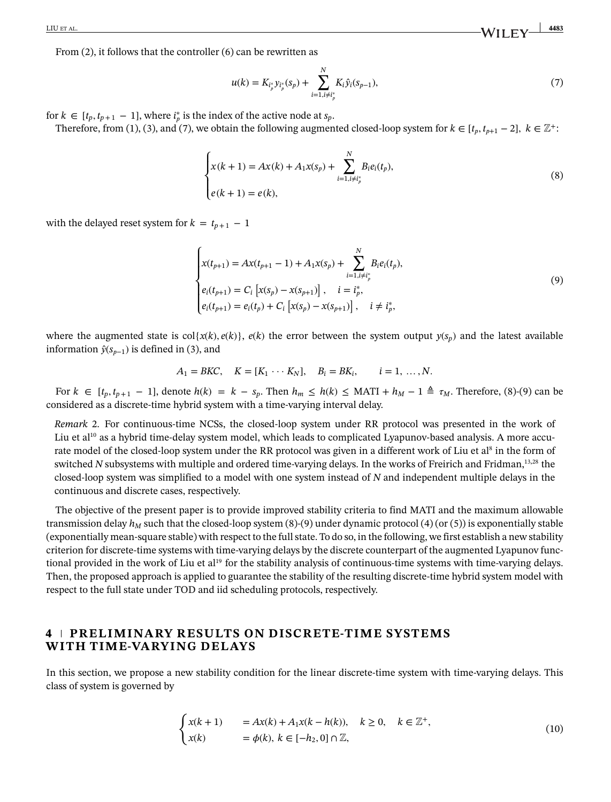From [\(2\)](#page-3-1), it follows that the controller [\(6\)](#page-3-2) can be rewritten as

<span id="page-4-1"></span><span id="page-4-0"></span>
$$
u(k) = K_{i_p^*} y_{i_p^*} (s_p) + \sum_{i=1, i \neq i_p^*}^N K_i \hat{y}_i (s_{p-1}),
$$
\n<sup>(7)</sup>

for  $k \in [t_p, t_{p+1} - 1]$ , where  $i_p^*$  is the index of the active node at  $s_p$ .

Therefore, from [\(1\)](#page-2-1), [\(3\)](#page-3-3), and [\(7\)](#page-4-0), we obtain the following augmented closed-loop system for  $k \in [t_n, t_{n+1} - 2]$ ,  $k \in \mathbb{Z}^+$ :

$$
\begin{cases} x(k+1) = Ax(k) + A_1 x(s_p) + \sum_{i=1, i \neq i_p^*}^N B_i e_i(t_p), \\ e(k+1) = e(k), \end{cases}
$$
 (8)

with the delayed reset system for  $k = t_{p+1} - 1$ 

<span id="page-4-2"></span>
$$
\begin{cases}\nx(t_{p+1}) = Ax(t_{p+1} - 1) + A_1 x(s_p) + \sum_{i=1, i \neq i_p^*}^N B_i e_i(t_p), \\
e_i(t_{p+1}) = C_i \left[ x(s_p) - x(s_{p+1}) \right], \quad i = i_p^*, \\
e_i(t_{p+1}) = e_i(t_p) + C_i \left[ x(s_p) - x(s_{p+1}) \right], \quad i \neq i_p^*,\n\end{cases} \tag{9}
$$

where the augmented state is  $col{x(k), e(k)}$ ,  $e(k)$  the error between the system output  $y(s_p)$  and the latest available information  $\hat{y}(s_{n-1})$  is defined in [\(3\)](#page-3-3), and

$$
A_1 = BKC
$$
,  $K = [K_1 \cdots K_N]$ ,  $B_i = BK_i$ ,  $i = 1, ..., N$ .

For  $k \in [t_p, t_{p+1} - 1]$ , denote  $h(k) = k - s_p$ . Then  $h_m \le h(k) \le \text{MATI} + h_M - 1 \triangleq \tau_M$ . Therefore, [\(8\)](#page-4-1)-[\(9\)](#page-4-2) can be considered as a discrete-time hybrid system with a time-varying interval delay.

<span id="page-4-3"></span>*Remark* [2.](#page-4-3) For continuous-time NCSs, the closed-loop system under RR protocol was presented in the work of Liu et al<sup>10</sup> as a hybrid time-delay system model, which leads to complicated Lyapunov-based analysis. A more accurate model of the closed-loop system under the RR protocol was given in a different work of Liu et al<sup>8</sup> in the form of switched *N* subsystems with multiple and ordered time-varying delays. In the works of Freirich and Fridman,<sup>13[,28](#page-20-19)</sup> the closed-loop system was simplified to a model with one system instead of *N* and independent multiple delays in the continuous and discrete cases, respectively.

The objective of the present paper is to provide improved stability criteria to find MATI and the maximum allowable transmission delay  $h_M$  such that the closed-loop system [\(8\)](#page-4-1)-[\(9\)](#page-4-2) under dynamic protocol [\(4\)](#page-3-4) (or [\(5\)](#page-3-5)) is exponentially stable (exponentially mean-square stable) with respect to the full state. To do so, in the following, we first establish a new stability criterion for discrete-time systems with time-varying delays by the discrete counterpart of the augmented Lyapunov functional provided in the work of Liu et al<sup>19</sup> for the stability analysis of continuous-time systems with time-varying delays. Then, the proposed approach is applied to guarantee the stability of the resulting discrete-time hybrid system model with respect to the full state under TOD and iid scheduling protocols, respectively.

# **4 PRELIMINARY RESULTS ON DISCRETE-TIME SYSTEMS WITH TIME-VARYING DELAYS**

In this section, we propose a new stability condition for the linear discrete-time system with time-varying delays. This class of system is governed by

<span id="page-4-4"></span>
$$
\begin{cases}\nx(k+1) = Ax(k) + A_1x(k-h(k)), & k \ge 0, \quad k \in \mathbb{Z}^+, \\
x(k) = \phi(k), k \in [-h_2, 0] \cap \mathbb{Z},\n\end{cases}
$$
\n(10)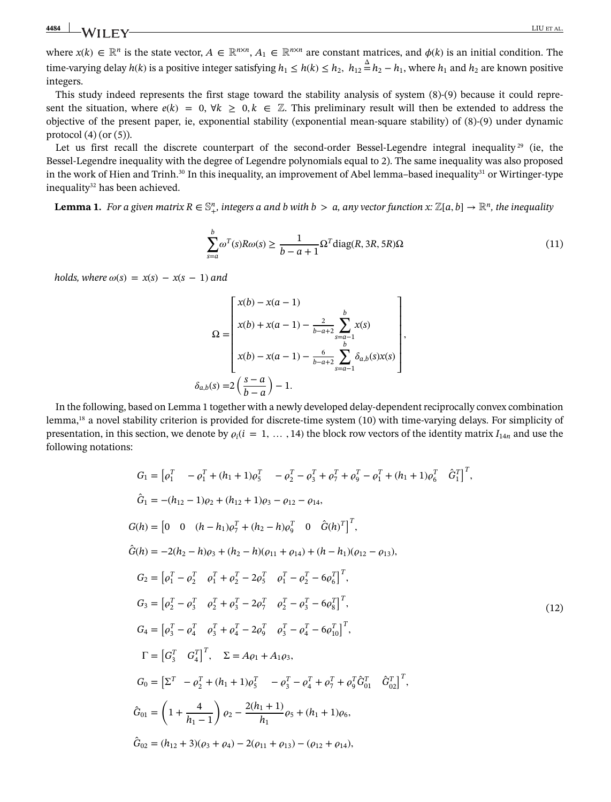where  $x(k) \in \mathbb{R}^n$  is the state vector,  $A \in \mathbb{R}^{n \times n}$ ,  $A_1 \in \mathbb{R}^{n \times n}$  are constant matrices, and  $\phi(k)$  is an initial condition. The time-varying delay  $h(k)$  is a positive integer satisfying  $h_1\leq h(k)\leq h_2,~$   $h_{12}\triangleq h_2-h_1,$  where  $h_1$  and  $h_2$  are known positive integers.

This study indeed represents the first stage toward the stability analysis of system [\(8\)](#page-4-1)-[\(9\)](#page-4-2) because it could represent the situation, where  $e(k) = 0$ ,  $\forall k \geq 0, k \in \mathbb{Z}$ . This preliminary result will then be extended to address the objective of the present paper, ie, exponential stability (exponential mean-square stability) of [\(8\)](#page-4-1)-[\(9\)](#page-4-2) under dynamic protocol  $(4)$  (or  $(5)$ ).

Let us first recall the discrete counterpart of the second-order Bessel-Legendre integral inequality  $29$  (ie, the Bessel-Legendre inequality with the degree of Legendre polynomials equal to 2). The same inequality was also proposed in the work of Hien and Trinh.<sup>30</sup> In this inequality, an improvement of Abel lemma–based inequality<sup>31</sup> or Wirtinger-type inequality<sup>32</sup> has been achieved.

<span id="page-5-0"></span>**Lemma [1.](#page-5-0)** For a given matrix  $R \in \mathbb{S}^n_+$ , integers a and b with  $b > a$ , any vector function x:  $\mathbb{Z}[a,b] \to \mathbb{R}^n$ , the inequality

<span id="page-5-1"></span>
$$
\sum_{s=a}^{b} \omega^T(s) R \omega(s) \ge \frac{1}{b-a+1} \Omega^T \text{diag}(R, 3R, 5R) \Omega
$$
\n(11)

*holds, where*  $\omega(s) = x(s) - x(s - 1)$  *and* 

$$
\Omega = \begin{bmatrix} x(b) - x(a-1) \\ x(b) + x(a-1) - \frac{2}{b-a+2} \sum_{s=a-1}^{b} x(s) \\ x(b) - x(a-1) - \frac{6}{b-a+2} \sum_{s=a-1}^{b} \delta_{a,b}(s) x(s) \end{bmatrix},
$$
  

$$
\delta_{a,b}(s) = 2\left(\frac{s-a}{b-a}\right) - 1.
$$

In the following, based on Lemma [1](#page-5-1) together with a newly developed delay-dependent reciprocally convex combination lemma,<sup>18</sup> a novel stability criterion is provided for discrete-time system [\(10\)](#page-4-4) with time-varying delays. For simplicity of presentation, in this section, we denote by  $\rho_i(i = 1, \ldots, 14)$  the block row vectors of the identity matrix  $I_{14n}$  and use the following notations:

<span id="page-5-2"></span>
$$
G_1 = [o_1^T - o_1^T + (h_1 + 1)o_5^T - o_2^T - o_3^T + o_7^T + o_9^T - o_1^T + (h_1 + 1)o_6^T \hat{G}_1^T]^T,
$$
  
\n
$$
\hat{G}_1 = -(h_{12} - 1)o_2 + (h_{12} + 1)o_3 - o_{12} - o_{14},
$$
  
\n
$$
G(h) = [0 \t 0 \t (h - h_1)o_7^T + (h_2 - h)o_9^T \t 0 \hat{G}(h)^T]^T,
$$
  
\n
$$
\hat{G}(h) = -2(h_2 - h)o_3 + (h_2 - h)(o_{11} + o_{14}) + (h - h_1)(o_{12} - o_{13}),
$$
  
\n
$$
G_2 = [o_1^T - o_2^T o_1^T + o_2^T - 2o_5^T o_1^T - o_2^T - o_6^T]^T,
$$
  
\n
$$
G_3 = [o_2^T - o_3^T o_2^T + o_3^T - 2o_7^T o_2^T - o_3^T - o_6^T]^T,
$$
  
\n
$$
G_4 = [o_3^T - o_4^T o_3^T + o_4^T - 2o_9^T o_3^T - o_4^T - o_6^T]^\top,
$$
  
\n
$$
\Gamma = [G_3^T G_4^T]^T, \quad \Sigma = A o_1 + A_1 o_3,
$$
  
\n
$$
G_0 = [\Sigma^T - o_2^T + (h_1 + 1)o_5^T - o_3^T - o_4^T + o_7^T + o_9^T \hat{G}_0^T \hat{G}_0^T]^T,
$$
  
\n
$$
\hat{G}_{01} = (1 + \frac{4}{h_1 - 1}) o_2 - \frac{2(h_1 + 1)}{h_1} o_5 + (h_1 + 1) o_6,
$$
  
\n
$$
\hat{G}_{02} = (h_{12} + 3)(o_3 + o_4) - 2(o_{11} + o_{13}) - (o_{12} + o_{14}),
$$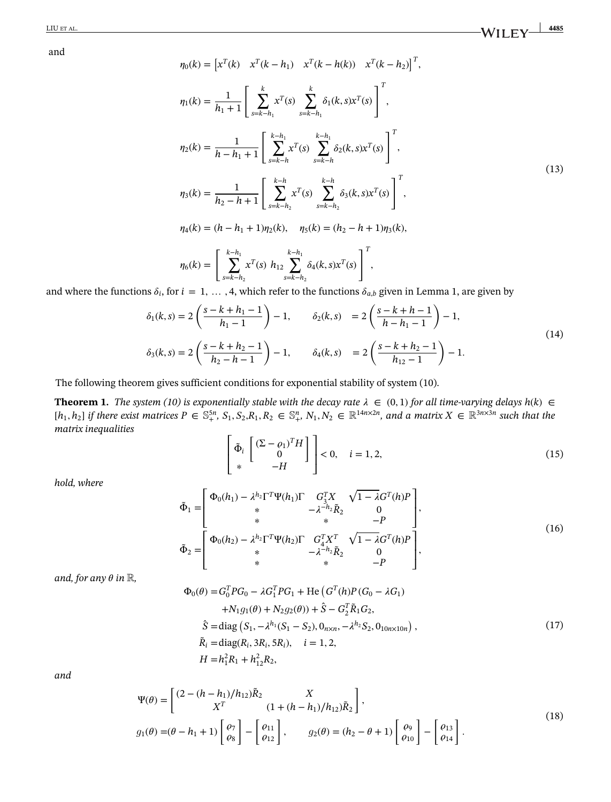<span id="page-6-2"></span>and

$$
\eta_0(k) = \left[x^T(k) \quad x^T(k - h_1) \quad x^T(k - h(k)) \quad x^T(k - h_2)\right]^T,
$$
\n
$$
\eta_1(k) = \frac{1}{h_1 + 1} \left[\sum_{s=k-h_1}^k x^T(s) \sum_{s=k-h_1}^k \delta_1(k, s) x^T(s)\right]^T,
$$
\n
$$
\eta_2(k) = \frac{1}{h - h_1 + 1} \left[\sum_{s=k-h}^{k-h_1} x^T(s) \sum_{s=k-h}^{k-h_1} \delta_2(k, s) x^T(s)\right]^T,
$$
\n
$$
\eta_3(k) = \frac{1}{h_2 - h_1 + 1} \left[\sum_{s=k-h_2}^{k-h_2} x^T(s) \sum_{s=k-h_2}^{k-h_2} \delta_3(k, s) x^T(s)\right]^T,
$$
\n
$$
\eta_4(k) = (h - h_1 + 1)\eta_2(k), \quad \eta_5(k) = (h_2 - h_1 + 1)\eta_3(k),
$$
\n
$$
\eta_6(k) = \left[\sum_{s=k-h_2}^{k-h_1} x^T(s) h_{12} \sum_{s=k-h_2}^{k-h_1} \delta_4(k, s) x^T(s)\right]^T,
$$
\n
$$
\text{or } i = 1, \quad A \text{ which refer to the functions } \hat{s} \text{, given in Lemma 1, are given by}
$$

and where the functions  $\delta_i$ , for  $i = 1, \ldots, 4$  $i = 1, \ldots, 4$  $i = 1, \ldots, 4$ , which refer to the functions  $\delta_{a,b}$  given in Lemma 1, are given by  $\overline{ }$ 

$$
\delta_1(k,s) = 2\left(\frac{s-k+h_1-1}{h_1-1}\right) - 1, \qquad \delta_2(k,s) = 2\left(\frac{s-k+h-1}{h-h_1-1}\right) - 1,
$$
  

$$
\delta_3(k,s) = 2\left(\frac{s-k+h_2-1}{h_2-h-1}\right) - 1, \qquad \delta_4(k,s) = 2\left(\frac{s-k+h_2-1}{h_1-1}\right) - 1.
$$
 (14)

The following theorem gives sufficient conditions for exponential stability of system [\(10\)](#page-4-4).

<span id="page-6-0"></span>**Theorem [1.](#page-6-0)** *The system* [\(10\)](#page-4-4) *is exponentially stable with the decay rate*  $\lambda \in (0,1)$  *for all time-varying delays*  $h(k)$  ∈  $[h_1,h_2]$  if there exist matrices  $P \in \mathbb{S}_+^{5n}$ ,  $S_1,S_2,R_1,R_2 \in \mathbb{S}_+^n$ ,  $N_1,N_2 \in \mathbb{R}^{14n\times2n}$ , and a matrix  $X \in \mathbb{R}^{3n\times3n}$  such that the *matrix inequalities*  $\overline{a}$  $\overline{a}$ 

<span id="page-6-1"></span>
$$
\begin{bmatrix} \tilde{\Phi}_i \begin{bmatrix} (\Sigma - \rho_1)^T H \\ 0 \end{bmatrix} \end{bmatrix} < 0, \quad i = 1, 2,
$$
 (15)

<span id="page-6-6"></span>*hold, where*

<span id="page-6-5"></span>
$$
\tilde{\Phi}_1 = \begin{bmatrix}\n\Phi_0(h_1) - \lambda^{h_2} \Gamma^T \Psi(h_1) \Gamma & G_3^T X & \sqrt{1 - \lambda} G^T(h) P \\
\ast & -\lambda^{-h_2} \tilde{R}_2 & 0 \\
\ast & \ast & -P \\
\Phi_0(h_2) - \lambda^{h_2} \Gamma^T \Psi(h_2) \Gamma & G_4^T X^T & \sqrt{1 - \lambda} G^T(h) P \\
\ast & -\lambda^{-h_2} \tilde{R}_2 & 0 \\
\ast & \ast & -P\n\end{bmatrix},
$$
\n(16)

*and, for any*  $\theta$  *in*  $\mathbb{R}$ *,* 

<span id="page-6-3"></span>
$$
\Phi_0(\theta) = G_0^T P G_0 - \lambda G_1^T P G_1 + \text{He} \left( G^T(h) P (G_0 - \lambda G_1) \right.\n+ N_1 g_1(\theta) + N_2 g_2(\theta) + \hat{S} - G_2^T \tilde{R}_1 G_2,\n\hat{S} = \text{diag} \left( S_1, -\lambda^{h_1} (S_1 - S_2), 0_{n \times n}, -\lambda^{h_2} S_2, 0_{10 n \times 10 n} \right),\n\tilde{R}_i = \text{diag}(R_i, 3R_i, 5R_i), \quad i = 1, 2,\nH = h_1^2 R_1 + h_{12}^2 R_2,
$$
\n(17)

<span id="page-6-4"></span>*and*

$$
\Psi(\theta) = \begin{bmatrix} (2 - (h - h_1)/h_{12})\tilde{R}_2 & X \\ X^T & (1 + (h - h_1)/h_{12})\tilde{R}_2 \end{bmatrix},
$$
  
\n
$$
g_1(\theta) = (\theta - h_1 + 1) \begin{bmatrix} \varrho_7 \\ \varrho_8 \end{bmatrix} - \begin{bmatrix} \varrho_{11} \\ \varrho_{12} \end{bmatrix},
$$
\n
$$
g_2(\theta) = (h_2 - \theta + 1) \begin{bmatrix} \varrho_9 \\ \varrho_{10} \end{bmatrix} - \begin{bmatrix} \varrho_{13} \\ \varrho_{14} \end{bmatrix}.
$$
\n(18)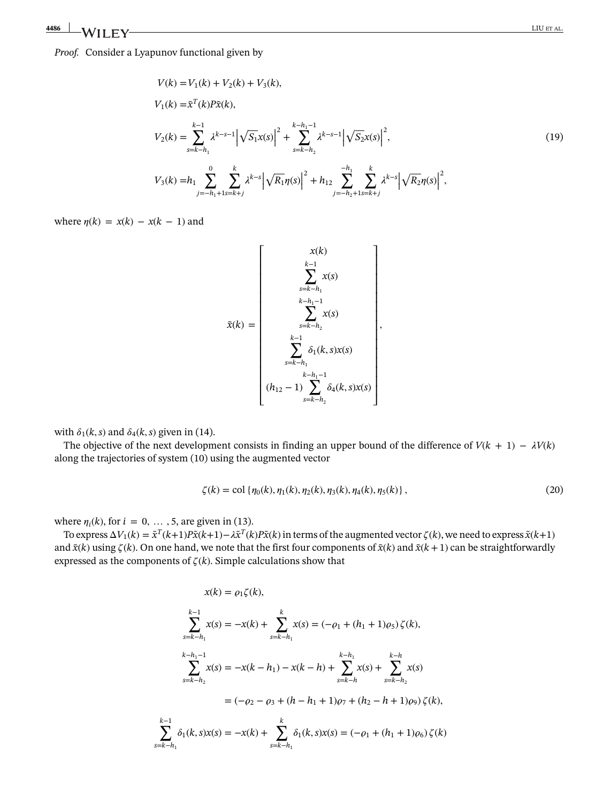<span id="page-7-0"></span>
$$
V(k) = V_1(k) + V_2(k) + V_3(k),
$$
  
\n
$$
V_1(k) = \tilde{x}^T(k)P\tilde{x}(k),
$$
  
\n
$$
V_2(k) = \sum_{s=k-h_1}^{k-1} \lambda^{k-s-1} \left| \sqrt{S_1}x(s) \right|^2 + \sum_{s=k-h_2}^{k-h_1-1} \lambda^{k-s-1} \left| \sqrt{S_2}x(s) \right|^2,
$$
  
\n
$$
V_3(k) = h_1 \sum_{j=-h_1+1}^{0} \sum_{s=k+j}^{k} \lambda^{k-s} \left| \sqrt{R_1} \eta(s) \right|^2 + h_{12} \sum_{j=-h_2+1}^{h_1} \sum_{s=k+j}^{k} \lambda^{k-s} \left| \sqrt{R_2} \eta(s) \right|^2,
$$
\n(19)

where  $\eta(k) = x(k) - x(k-1)$  and

<span id="page-7-1"></span>
$$
\tilde{x}(k) = \begin{bmatrix}\nx(k) \\
k-1 \\
\sum_{s=k-h_1}^{k-1} x(s) \\
k-h_1-1 \\
\sum_{s=k-h_2}^{k-1} x(s) \\
\sum_{s=k-h_1}^{k-1} \delta_1(k, s)x(s) \\
k-h_1-1 \\
k-h_1-1 \\
k-h_1-1 \\
\sum_{s=k-h_2}^{k-h_2} \delta_4(k, s)x(s)\n\end{bmatrix},
$$

with  $\delta_1(k, s)$  and  $\delta_4(k, s)$  given in [\(14\)](#page-6-1).

The objective of the next development consists in finding an upper bound of the difference of  $V(k + 1) - \lambda V(k)$ along the trajectories of system [\(10\)](#page-4-4) using the augmented vector

$$
\zeta(k) = \text{col}\left\{\eta_0(k), \eta_1(k), \eta_2(k), \eta_3(k), \eta_4(k), \eta_5(k)\right\},\tag{20}
$$

where  $\eta_i(k)$ , for  $i = 0, \ldots, 5$ , are given in [\(13\)](#page-6-2).

To express  $\Delta V_1(k) = \tilde{x}^T(k+1)P\tilde{x}(k+1) - \lambda \tilde{x}^T(k)P\tilde{x}(k)$  in terms of the augmented vector  $\zeta(k)$ , we need to express  $\tilde{x}(k+1)$ and  $\tilde{x}(k)$  using  $\zeta(k)$ . On one hand, we note that the first four components of  $\tilde{x}(k)$  and  $\tilde{x}(k+1)$  can be straightforwardly expressed as the components of  $\zeta(k)$ . Simple calculations show that

$$
x(k) = \rho_1 \zeta(k),
$$
  
\n
$$
\sum_{s=k-h_1}^{k-1} x(s) = -x(k) + \sum_{s=k-h_1}^{k} x(s) = (-\rho_1 + (h_1 + 1)\rho_5) \zeta(k),
$$
  
\n
$$
\sum_{s=k-h_2}^{k-h_1-1} x(s) = -x(k-h_1) - x(k-h) + \sum_{s=k-h}^{k-h_1} x(s) + \sum_{s=k-h_2}^{k-h} x(s)
$$
  
\n
$$
= (-\rho_2 - \rho_3 + (h - h_1 + 1)\rho_7 + (h_2 - h + 1)\rho_9) \zeta(k),
$$
  
\n
$$
\sum_{s=k-h_1}^{k-1} \delta_1(k, s)x(s) = -x(k) + \sum_{s=k-h_1}^{k} \delta_1(k, s)x(s) = (-\rho_1 + (h_1 + 1)\rho_6) \zeta(k)
$$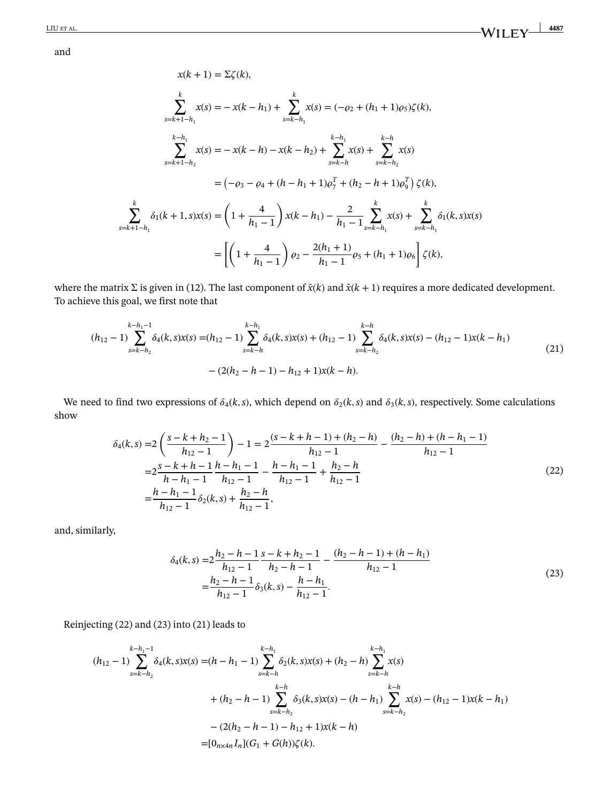and

$$
x(k + 1) = \sum \zeta(k),
$$
  
\n
$$
\sum_{s=k+1-h_1}^{k} x(s) = -x(k - h_1) + \sum_{s=k-h_1}^{k} x(s) = (-\varrho_2 + (h_1 + 1)\varrho_5)\zeta(k),
$$
  
\n
$$
\sum_{s=k+1-h_2}^{k-h_1} x(s) = -x(k - h) - x(k - h_2) + \sum_{s=k-h_1}^{k-h_1} x(s) + \sum_{s=k-h_2}^{k-h_2} x(s)
$$
  
\n
$$
= (-\varrho_3 - \varrho_4 + (h - h_1 + 1)\varrho_7^T + (h_2 - h + 1)\varrho_9^T) \zeta(k),
$$
  
\n
$$
\sum_{s=k+1-h_1}^{k} \delta_1(k + 1, s)x(s) = \left(1 + \frac{4}{h_1 - 1}\right)x(k - h_1) - \frac{2}{h_1 - 1} \sum_{s=k-h_1}^{k} x(s) + \sum_{s=k-h_1}^{k} \delta_1(k, s)x(s)
$$
  
\n
$$
= \left[ \left(1 + \frac{4}{h_1 - 1}\right)\varrho_2 - \frac{2(h_1 + 1)}{h_1 - 1}\varrho_5 + (h_1 + 1)\varrho_6 \right] \zeta(k),
$$

where the matrix Σ is given in [\(12\)](#page-5-2). The last component of *x̃*(*k*) and *x̃*(*k* + 1) requires a more dedicated development. To achieve this goal, we first note that

<span id="page-8-2"></span>
$$
(h_{12}-1)\sum_{s=k-h_2}^{k-h_1-1} \delta_4(k,s)x(s) = (h_{12}-1)\sum_{s=k-h}^{k-h_1} \delta_4(k,s)x(s) + (h_{12}-1)\sum_{s=k-h_2}^{k-h} \delta_4(k,s)x(s) - (h_{12}-1)x(k-h_1) - (2(h_2-h-1)-h_{12}+1)x(k-h).
$$
\n(21)

<span id="page-8-0"></span>We need to find two expressions of  $\delta_4(k, s)$ , which depend on  $\delta_2(k, s)$  and  $\delta_3(k, s)$ , respectively. Some calculations show

$$
\delta_4(k,s) = 2\left(\frac{s-k+h_2-1}{h_{12}-1}\right) - 1 = 2\frac{(s-k+h-1)+(h_2-h)}{h_{12}-1} - \frac{(h_2-h)+(h-h_1-1)}{h_{12}-1}
$$
  

$$
= 2\frac{s-k+h-1}{h-h_1-1}\frac{h-h_1-1}{h_{12}-1} - \frac{h-h_1-1}{h_{12}-1} + \frac{h_2-h}{h_{12}-1}
$$
  

$$
= \frac{h-h_1-1}{h_{12}-1}\delta_2(k,s) + \frac{h_2-h}{h_{12}-1},
$$
 (22)

and, similarly,

<span id="page-8-1"></span>
$$
\delta_4(k,s) = 2\frac{h_2 - h - 1}{h_{12} - 1} \frac{s - k + h_2 - 1}{h_2 - h - 1} - \frac{(h_2 - h - 1) + (h - h_1)}{h_{12} - 1}
$$
  
= 
$$
\frac{h_2 - h - 1}{h_{12} - 1} \delta_3(k,s) - \frac{h - h_1}{h_{12} - 1}.
$$
 (23)

Reinjecting [\(22\)](#page-8-0) and [\(23\)](#page-8-1) into [\(21\)](#page-8-2) leads to

$$
(h_{12} - 1) \sum_{s=k-h_2}^{k-h_1-1} \delta_4(k, s) x(s) = (h - h_1 - 1) \sum_{s=k-h}^{k-h_1} \delta_2(k, s) x(s) + (h_2 - h) \sum_{s=k-h}^{k-h_1} x(s)
$$
  
+  $(h_2 - h - 1) \sum_{s=k-h_2}^{k-h} \delta_3(k, s) x(s) - (h - h_1) \sum_{s=k-h_2}^{k-h} x(s) - (h_{12} - 1) x(k - h_1)$   
-  $(2(h_2 - h - 1) - h_{12} + 1) x(k - h)$   
=  $[0_{n \times 4h} I_n](G_1 + G(h)) \zeta(k).$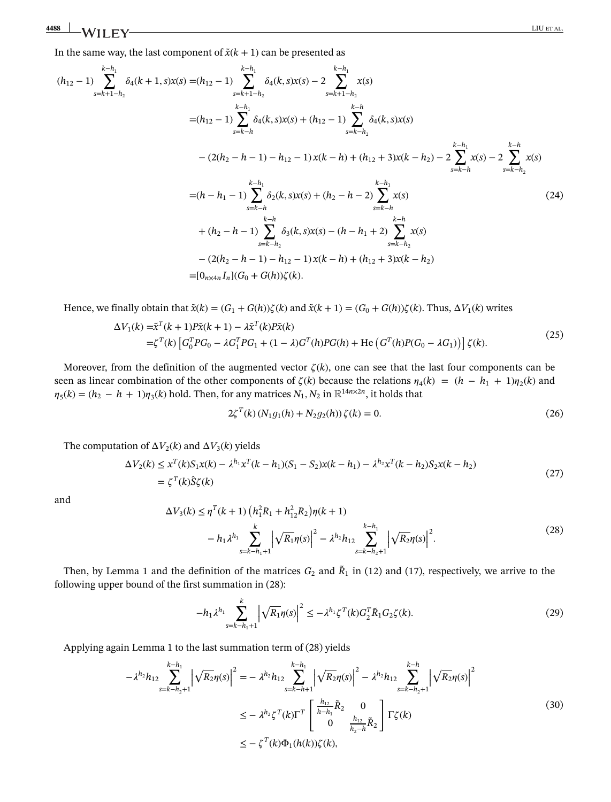In the same way, the last component of  $\tilde{x}$ ( $k + 1$ ) can be presented as

$$
(h_{12}-1)\sum_{s=k+1-h_2}^{k-h_1} \delta_4(k+1,s)x(s) = (h_{12}-1)\sum_{s=k+1-h_2}^{k-h_1} \delta_4(k,s)x(s) - 2\sum_{s=k+1-h_2}^{k-h_1} x(s)
$$
  
\n
$$
= (h_{12}-1)\sum_{s=k-h_1}^{k-h_1} \delta_4(k,s)x(s) + (h_{12}-1)\sum_{s=k-h_2}^{k-h_2} \delta_4(k,s)x(s)
$$
  
\n
$$
- (2(h_2-h-1)-h_{12}-1)x(k-h) + (h_{12}+3)x(k-h_2) - 2\sum_{s=k-h_2}^{k-h_1} x(s) - 2\sum_{s=k-h_2}^{k-h_1} x(s)
$$
  
\n
$$
= (h-h_1-1)\sum_{s=k-h_1}^{k-h_1} \delta_2(k,s)x(s) + (h_2-h-2)\sum_{s=k-h_1}^{k-h_1} x(s)
$$
  
\n
$$
+ (h_2-h-1)\sum_{s=k-h_2}^{k-h_2} \delta_3(k,s)x(s) - (h-h_1+2)\sum_{s=k-h_2}^{k-h_2} x(s)
$$
  
\n
$$
- (2(h_2-h-1)-h_{12}-1)x(k-h) + (h_{12}+3)x(k-h_2)
$$
  
\n
$$
= [0_{n\tan}I_n](G_0+G(h))\zeta(k).
$$
 (24)

Hence, we finally obtain that  $\tilde{x}(k) = (G_1 + G(h))\zeta(k)$  and  $\tilde{x}(k+1) = (G_0 + G(h))\zeta(k)$ . Thus,  $\Delta V_1(k)$  writes

$$
\Delta V_1(k) = \tilde{\mathbf{x}}^T(k+1)P\tilde{\mathbf{x}}(k+1) - \lambda \tilde{\mathbf{x}}^T(k)P\tilde{\mathbf{x}}(k)
$$
  
=\zeta^T(k) \left[ G\_0^T P G\_0 - \lambda G\_1^T P G\_1 + (1-\lambda)G^T(h)P G(h) + \text{He} \left( G^T(h)P(G\_0 - \lambda G\_1) \right) \right] \zeta(k). (25)

Moreover, from the definition of the augmented vector  $\zeta(k)$ , one can see that the last four components can be seen as linear combination of the other components of  $\zeta(k)$  because the relations  $\eta_4(k) = (h - h_1 + 1)\eta_2(k)$  and  $\eta_5(k) = (h_2 - h_1 + 1)\eta_3(k)$  hold. Then, for any matrices  $N_1, N_2$  in  $\mathbb{R}^{14n \times 2n}$ , it holds that

<span id="page-9-1"></span>
$$
2\zeta^{T}(k)(N_{1}g_{1}(h) + N_{2}g_{2}(h))\zeta(k) = 0.
$$
\n(26)

The computation of  $\Delta V_2(k)$  and  $\Delta V_3(k)$  yields

$$
\Delta V_2(k) \le x^T(k)S_1x(k) - \lambda^{h_1}x^T(k - h_1)(S_1 - S_2)x(k - h_1) - \lambda^{h_2}x^T(k - h_2)S_2x(k - h_2)
$$
  
=  $\zeta^T(k)\hat{S}\zeta(k)$  (27)

<span id="page-9-0"></span>and

$$
\Delta V_3(k) \le \eta^T(k+1) \left( h_1^2 R_1 + h_{12}^2 R_2 \right) \eta(k+1)
$$
  

$$
- h_1 \lambda^{h_1} \sum_{s=k-h_1+1}^k \left| \sqrt{R_1} \eta(s) \right|^2 - \lambda^{h_2} h_{12} \sum_{s=k-h_2+1}^{k-h_1} \left| \sqrt{R_2} \eta(s) \right|^2.
$$
 (28)

Then, by Lemma [1](#page-5-1) and the definition of the matrices  $G_2$  and  $\tilde{R}_1$  in [\(12\)](#page-5-2) and [\(17\)](#page-6-3), respectively, we arrive to the following upper bound of the first summation in [\(28\)](#page-9-0):

<span id="page-9-2"></span>
$$
-h_1 \lambda^{h_1} \sum_{s=k-h_1+1}^k \left| \sqrt{R_1} \eta(s) \right|^2 \leq -\lambda^{h_1} \zeta^T(k) G_2^T \tilde{R}_1 G_2 \zeta(k). \tag{29}
$$

Applying again Lemma [1](#page-5-1) to the last summation term of [\(28\)](#page-9-0) yields

$$
-\lambda^{h_2}h_{12}\sum_{s=k-h_2+1}^{k-h_1} \left|\sqrt{R_2}\eta(s)\right|^2 = -\lambda^{h_2}h_{12}\sum_{s=k-h+1}^{k-h_1} \left|\sqrt{R_2}\eta(s)\right|^2 - \lambda^{h_2}h_{12}\sum_{s=k-h_2+1}^{k-h} \left|\sqrt{R_2}\eta(s)\right|^2
$$
  

$$
\leq -\lambda^{h_2}\zeta^T(k)\Gamma^T \begin{bmatrix} \frac{h_{12}}{h-h_1}\tilde{R}_2 & 0\\ 0 & \frac{h_{12}}{h_2-h}\tilde{R}_2 \end{bmatrix} \Gamma\zeta(k)
$$
  

$$
\leq -\zeta^T(k)\Phi_1(h(k))\zeta(k),
$$
 (30)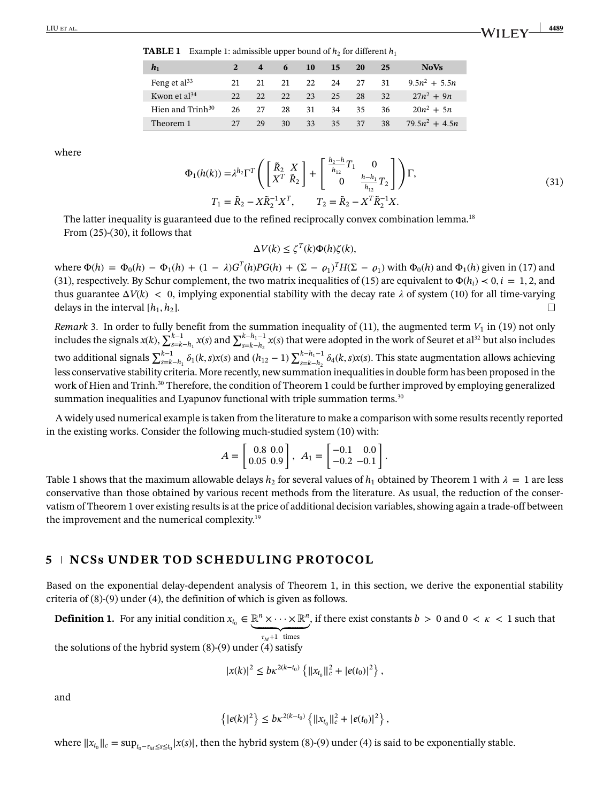**TABLE 1** Example 1: admissible upper bound of  $h_2$  for different  $h_1$ 

<span id="page-10-2"></span>

| $h_1$                        |    | $\overline{4}$ | -6 | <b>10</b> | 15 | 20 | 25 | <b>NoVs</b>      |
|------------------------------|----|----------------|----|-----------|----|----|----|------------------|
| Feng et $al^{33}$            | 21 | 21             | 21 | 22        | 24 | 27 | 31 | $9.5n^2 + 5.5n$  |
| Kwon et $al^{34}$            | 22 | 22             | 22 | 23        | 25 | 28 | 32 | $27n^2 + 9n$     |
| Hien and Trinh <sup>30</sup> | 26 | 27             | 28 | 31        | 34 | 35 | 36 | $20n^2 + 5n$     |
| Theorem 1                    | 27 | 29             | 30 | 33        | 35 | 37 | 38 | $79.5n^2 + 4.5n$ |

<span id="page-10-0"></span>where

$$
\Phi_1(h(k)) = \lambda^{h_2} \Gamma^T \left( \begin{bmatrix} \tilde{R}_2 & X \\ X^T & \tilde{R}_2 \end{bmatrix} + \begin{bmatrix} \frac{h_2 - h}{h_{12}} T_1 & 0 \\ 0 & \frac{h - h_1}{h_{12}} T_2 \end{bmatrix} \right) \Gamma,
$$
  
\n
$$
T_1 = \tilde{R}_2 - X \tilde{R}_2^{-1} X^T, \qquad T_2 = \tilde{R}_2 - X^T \tilde{R}_2^{-1} X.
$$
\n(31)

The latter inequality is guaranteed due to the refined reciprocally convex combination lemma.<sup>18</sup> From [\(25\)](#page-9-1)-[\(30\)](#page-9-2), it follows that

$$
\Delta V(k) \le \zeta^{T}(k)\Phi(h)\zeta(k),
$$

 $\Phi(h) = Φ_0(h) − Φ_1(h) + (1 − λ)G<sup>T</sup>(h)PG(h) + (Σ − ρ_1)<sup>T</sup>H(Σ − ρ_1)$  with  $Φ_0(h)$  and  $Φ_1(h)$  given in [\(17\)](#page-6-3) and [\(31\)](#page-10-0), respectively. By Schur complement, the two matrix inequalities of [\(15\)](#page-6-5) are equivalent to  $\Phi(h_i) < 0, i = 1, 2$ , and thus guarantee  $\Delta V(k) < 0$ , implying exponential stability with the decay rate  $\lambda$  of system [\(10\)](#page-4-4) for all time-varying delays in the interval  $[h_1, h_2]$ .  $\Box$ 

<span id="page-10-1"></span>*Remark* [3.](#page-10-1) In order to fully benefit from the summation inequality of [\(11\)](#page-5-1), the augmented term  $V_1$  in [\(19\)](#page-7-0) not only S. In order to large believe from the summation inequality of (11), the augmented term  $v_1$  in (19) not only<br>includes the signals  $x(k)$ ,  $\sum_{s=k-h_1}^{k-1} x(s)$  and  $\sum_{s=k-h_2}^{k-h_1-1} x(s)$  that were adopted in the work of Seu  $\sum_{s=k-n_1}^{k-1}$  (*k*,*s*)*x*(*s*) and (*h*<sub>12</sub> − 1)  $\mathbf{\nabla}^{k-h_1-1}$  $\sum_{s=k-h_2}^{h-h_1-1} \delta_4(k, s)x(s)$ . This state augmentation allows achieving less conservative stability criteria. More recently, new summation inequalities in double form has been proposed in the work of Hien and Trinh.<sup>30</sup> Therefore, the condition of Theorem [1](#page-6-4) could be further improved by employing generalized summation inequalities and Lyapunov functional with triple summation terms.<sup>30</sup>

A widely used numerical example is taken from the literature to make a comparison with some results recently reported in the existing works. Consider the following much-studied system  $(10)$  with:

$$
A = \begin{bmatrix} 0.8 & 0.0 \\ 0.05 & 0.9 \end{bmatrix}, A_1 = \begin{bmatrix} -0.1 & 0.0 \\ -0.2 & -0.1 \end{bmatrix}.
$$

Table [1](#page-6-4) shows that the maximum allowable delays  $h_2$  for several values of  $h_1$  obtained by Theorem 1 with  $\lambda = 1$  are less conservative than those obtained by various recent methods from the literature. As usual, the reduction of the conservatism of Theorem [1](#page-6-4) over existing results is at the price of additional decision variables, showing again a trade-off between the improvement and the numerical complexity[.19](#page-20-10)

# **5 NCSs UNDER TOD SCHEDULING PROTOCOL**

Based on the exponential delay-dependent analysis of Theorem [1,](#page-6-4) in this section, we derive the exponential stability criteria of [\(8\)](#page-4-1)-[\(9\)](#page-4-2) under [\(4\)](#page-3-4), the definition of which is given as follows.

<span id="page-10-3"></span>**Definition [1.](#page-10-3)** For any initial condition  $x_{t_0} \in \mathbb{R}^n \times \cdots \times \mathbb{R}^n$  $\tau_M+1$  times , if there exist constants  $b > 0$  and  $0 < \kappa < 1$  such that

the solutions of the hybrid system [\(8\)](#page-4-1)-[\(9\)](#page-4-2) under [\(4\)](#page-3-4) satisfy

$$
|x(k)|^2 \leq b\kappa^{2(k-t_0)} \left\{ ||x_{t_0}||_c^2 + |e(t_0)|^2 \right\},\,
$$

and

$$
\left\{|e(k)|^2\right\} \leq bk^{2(k-t_0)}\left\{\|x_{t_0}\|_c^2+|e(t_0)|^2\right\},\
$$

where  $||x_{t_0}||_c = \sup_{t_0 - \tau_M \le s \le t_0} |x(s)|$ , then the hybrid system [\(8\)](#page-4-1)-[\(9\)](#page-4-2) under [\(4\)](#page-3-4) is said to be exponentially stable.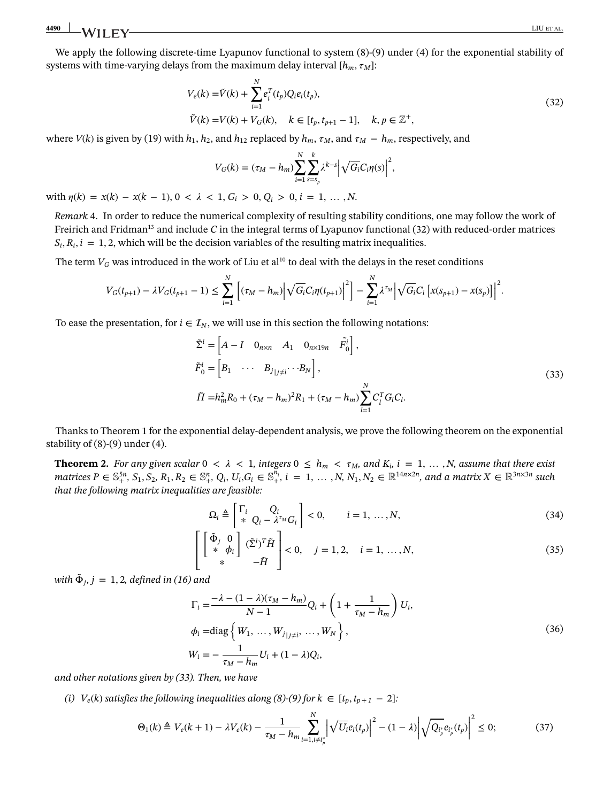We apply the following discrete-time Lyapunov functional to system  $(8)$ - $(9)$  under  $(4)$  for the exponential stability of systems with time-varying delays from the maximum delay interval  $[h_m, \tau_M]$ :

$$
V_e(k) = \tilde{V}(k) + \sum_{i=1}^{N} e_i^T(t_p) Q_i e_i(t_p),
$$
  
\n
$$
\tilde{V}(k) = V(k) + V_G(k), \quad k \in [t_p, t_{p+1} - 1], \quad k, p \in \mathbb{Z}^+,
$$
\n(32)

where  $V(k)$  is given by [\(19\)](#page-7-0) with  $h_1$ ,  $h_2$ , and  $h_{12}$  replaced by  $h_m$ ,  $\tau_M$ , and  $\tau_M - h_m$ , respectively, and

<span id="page-11-3"></span><span id="page-11-1"></span>
$$
V_G(k) = (\tau_M - h_m) \sum_{i=1}^N \sum_{s=s_p}^k \lambda^{k-s} \left| \sqrt{G_i} C_i \eta(s) \right|^2,
$$

with  $\eta(k) = x(k) - x(k-1), 0 < \lambda < 1, G_i > 0, Q_i > 0, i = 1, ..., N$ .

<span id="page-11-0"></span>*Remark* [4.](#page-11-0) In order to reduce the numerical complexity of resulting stability conditions, one may follow the work of Freirich and Fridma[n13](#page-20-4) and include *C* in the integral terms of Lyapunov functional [\(32\)](#page-11-1) with reduced-order matrices  $S_i, R_i, i = 1, 2$ , which will be the decision variables of the resulting matrix inequalities.

The term  $V_G$  was introduced in the work of Liu et al<sup>10</sup> to deal with the delays in the reset conditions

$$
V_G(t_{p+1}) - \lambda V_G(t_{p+1} - 1) \le \sum_{i=1}^N \left[ (\tau_M - h_m) \left| \sqrt{G_i} C_i \eta(t_{p+1}) \right|^2 \right] - \sum_{i=1}^N \lambda^{\tau_M} \left| \sqrt{G_i} C_i \left[ x(s_{p+1}) - x(s_p) \right] \right|^2.
$$

To ease the presentation, for  $i \in \mathcal{I}_N$ , we will use in this section the following notations:

$$
\tilde{\Sigma}^{i} = \begin{bmatrix} A - I & 0_{n \times n} & A_1 & 0_{n \times 19n} & \tilde{F}_0^{i} \end{bmatrix}, \n\tilde{F}_0^{i} = \begin{bmatrix} B_1 & \cdots & B_{j} \end{bmatrix}, \n\tilde{H} = h_m^2 R_0 + (\tau_M - h_m)^2 R_1 + (\tau_M - h_m) \sum_{l=1}^{N} C_l^T G_l C_l.
$$
\n(33)

Thanks to Theorem [1](#page-6-4) for the exponential delay-dependent analysis, we prove the following theorem on the exponential stability of [\(8\)](#page-4-1)-[\(9\)](#page-4-2) under [\(4\)](#page-3-4).

<span id="page-11-2"></span>**Theorem [2.](#page-11-2)** For any given scalar  $0 < \lambda < 1$ , integers  $0 \le h_m < \tau_M$ , and  $K_i$ ,  $i = 1, ..., N$ , assume that there exist matrices  $P \in \mathbb{S}^{5n}_+$ ,  $S_1, S_2, R_1, R_2 \in \mathbb{S}^n_+$ ,  $Q_i, U_i, G_i \in \mathbb{S}^{n_i}_+$ ,  $i = 1, ..., N$ ,  $N_1, N_2 \in \mathbb{R}^{14n \times 2n}$ , and a matrix  $X \in \mathbb{R}^{3n \times 3n}$  such *that the following matrix inequalities are feasible:*

<span id="page-11-6"></span>
$$
\Omega_i \triangleq \begin{bmatrix} \Gamma_i & Q_i \\ * & Q_i - \lambda^{r_M} G_i \end{bmatrix} < 0, \qquad i = 1, \dots, N,\tag{34}
$$

$$
\begin{bmatrix}\n\left[\begin{array}{cc}\n\tilde{\Phi}_j & 0 \\
\ast & \phi_i\n\end{array}\right] & (\tilde{\Sigma}^i)^T \tilde{H} \\
\ast & -\tilde{H}\n\end{bmatrix} < 0, \quad j = 1, 2, \quad i = 1, \dots, N,\n\tag{35}
$$

<span id="page-11-5"></span>*with*  $\tilde{\Phi}_i$ ,  $j = 1, 2$ , defined in [\(16\)](#page-6-6) and

<span id="page-11-4"></span>
$$
\Gamma_{i} = \frac{-\lambda - (1 - \lambda)(\tau_{M} - h_{m})}{N - 1} Q_{i} + \left(1 + \frac{1}{\tau_{M} - h_{m}}\right) U_{i},
$$
\n
$$
\phi_{i} = \text{diag}\left\{W_{1}, \dots, W_{j} \mid j \neq i}, \dots, W_{N}\right\},
$$
\n
$$
W_{i} = -\frac{1}{\tau_{M} - h_{m}} U_{i} + (1 - \lambda) Q_{i},
$$
\n(36)

*and other notations given by [\(33\)](#page-11-3). Then, we have*

*(i)*  $V_e(k)$  *satisfies the following inequalities along*  $(8)$ *-* $(9)$  *for*  $k \in [t_p, t_{p+1} - 2]$ *:* 

$$
\Theta_1(k) \triangleq V_e(k+1) - \lambda V_e(k) - \frac{1}{\tau_M - h_m} \sum_{i=1, i \neq i_p^*}^N \left| \sqrt{U_i} e_i(t_p) \right|^2 - (1-\lambda) \left| \sqrt{Q_{i_p^*}} e_{i_p^*}(t_p) \right|^2 \le 0; \tag{37}
$$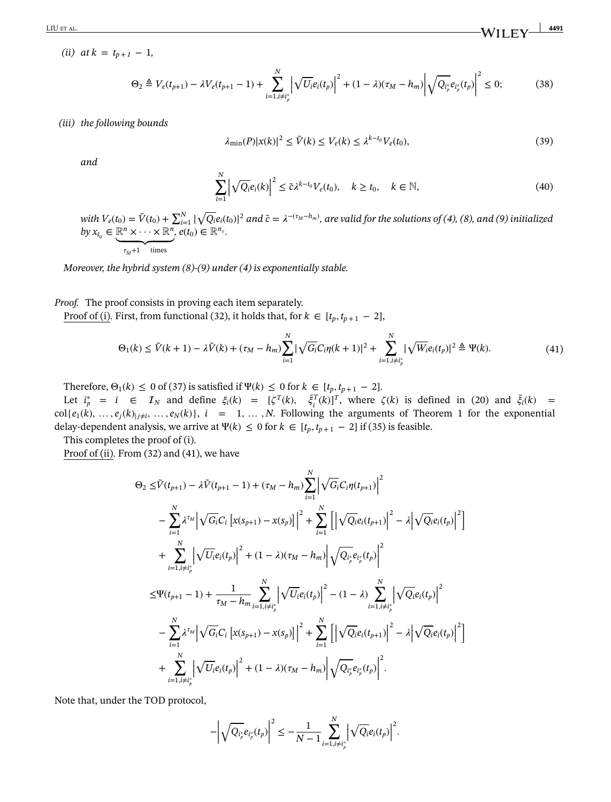<span id="page-12-2"></span>*(ii)*  $at k = t_{n+1} - 1$ ,

#### *(iii) the following bounds*

<span id="page-12-3"></span>
$$
\lambda_{\min}(P)|x(k)|^2 \le \tilde{V}(k) \le V_e(k) \le \lambda^{k-t_0} V_e(t_0),\tag{39}
$$

<span id="page-12-0"></span>*and*

<span id="page-12-1"></span>
$$
\sum_{i=1}^{N} \left| \sqrt{Q_i} e_i(k) \right|^2 \le \tilde{c} \lambda^{k-t_0} V_e(t_0), \quad k \ge t_0, \quad k \in \mathbb{N}, \tag{40}
$$

*with*  $V_e(t_0) = \tilde{V}(t_0) + \sum_{i=1}^{N} |t_i - t_0|$ √ $\overline{Q_i}e_i(t_0)|^2$  and  $\tilde{c} = \lambda^{-(\tau_M - h_m)}$ , are valid for the solutions of [\(4\)](#page-3-4), [\(8\)](#page-4-1), and [\(9\)](#page-4-2) initialized  $by x_{t_0} \in \mathbb{R}^n \times \cdots \times \mathbb{R}^n$ ,  $e(t_0) \in \mathbb{R}^{n_y}$ .

$$
\tau_M{+}1 \quad \text{times} \\
$$

*Moreover, the hybrid system [\(8\)](#page-4-1)-[\(9\)](#page-4-2) under [\(4\)](#page-3-4) is exponentially stable.*

*Proof.* The proof consists in proving each item separately.

Proof of (i). First, from functional [\(32\)](#page-11-1), it holds that, for  $k \in [t_p, t_{p+1} - 2]$ ,

$$
\Theta_1(k) \le \tilde{V}(k+1) - \lambda \tilde{V}(k) + (\tau_M - h_m) \sum_{i=1}^N |\sqrt{G_i} C_i \eta(k+1)|^2 + \sum_{i=1, i \ne i_p^*}^N |\sqrt{W_i} e_i(t_p)|^2 \triangleq \Psi(k). \tag{41}
$$

Therefore,  $\Theta_1(k) \leq 0$  of [\(37\)](#page-11-4) is satisfied if  $\Psi(k) \leq 0$  for  $k \in [t_p, t_{p+1} - 2]$ .

Let  $i_p^* = i \in \mathcal{I}_N$  and define  $\xi_i(k) = [\zeta^T(k), \overline{\xi}_i^T(k)]^T$ , where  $\zeta(k)$  is defined in [\(20\)](#page-7-1) and  $\overline{\xi}_i(k)$  = col{ $e_1(k), \ldots, e_j(k)_{|j\neq i}, \ldots, e_N(k)$ },  $i = 1, \ldots, N$  $i = 1, \ldots, N$  $i = 1, \ldots, N$ . Following the arguments of Theorem 1 for the exponential delay-dependent analysis, we arrive at  $\Psi(k) \leq 0$  for  $k \in [t_p, t_{p+1} - 2]$  if [\(35\)](#page-11-5) is feasible.

This completes the proof of (i).

Proof of (ii). From [\(32\)](#page-11-1) and [\(41\)](#page-12-1), we have

$$
\Theta_{2} \leq \tilde{V}(t_{p+1}) - \lambda \tilde{V}(t_{p+1} - 1) + (\tau_{M} - h_{m}) \sum_{i=1}^{N} \left| \sqrt{G_{i}} C_{i} \eta(t_{p+1}) \right|^{2}
$$
\n
$$
- \sum_{i=1}^{N} \lambda^{\tau_{M}} \left| \sqrt{G_{i}} C_{i} \left[ x(s_{p+1}) - x(s_{p}) \right] \right|^{2} + \sum_{i=1}^{N} \left[ \left| \sqrt{Q_{i}} e_{i}(t_{p+1}) \right|^{2} - \lambda \left| \sqrt{Q_{i}} e_{i}(t_{p}) \right|^{2} \right]
$$
\n
$$
+ \sum_{i=1, i \neq i_{p}^{*}}^{N} \left| \sqrt{U_{i}} e_{i}(t_{p}) \right|^{2} + (1 - \lambda)(\tau_{M} - h_{m}) \left| \sqrt{Q_{i_{p}^{*}} e_{i_{p}^{*}}(t_{p})} \right|^{2}
$$
\n
$$
\leq \Psi(t_{p+1} - 1) + \frac{1}{\tau_{M} - h_{m}} \sum_{i=1, i \neq i_{p}^{*}}^{N} \left| \sqrt{U_{i}} e_{i}(t_{p}) \right|^{2} - (1 - \lambda) \sum_{i=1, i \neq i_{p}^{*}}^{N} \left| \sqrt{Q_{i}} e_{i}(t_{p}) \right|^{2}
$$
\n
$$
- \sum_{i=1}^{N} \lambda^{\tau_{M}} \left| \sqrt{G_{i}} C_{i} \left[ x(s_{p+1}) - x(s_{p}) \right] \right|^{2} + \sum_{i=1}^{N} \left[ \left| \sqrt{Q_{i}} e_{i}(t_{p+1}) \right|^{2} - \lambda \left| \sqrt{Q_{i}} e_{i}(t_{p}) \right|^{2} \right]
$$
\n
$$
+ \sum_{i=1, i \neq i_{p}^{*}}^{N} \left| \sqrt{U_{i}} e_{i}(t_{p}) \right|^{2} + (1 - \lambda)(\tau_{M} - h_{m}) \left| \sqrt{Q_{i_{p}^{*}} e_{i_{p}^{*}}(t_{p})} \right|^{2}.
$$

Note that, under the TOD protocol,

$$
-\left|\sqrt{Q_{i_p^*}}e_{i_p^*}(t_p)\right|^2 \leq -\frac{1}{N-1}\sum_{i=1,i\neq i_p^*}^N \left|\sqrt{Q_i}e_i(t_p)\right|^2.
$$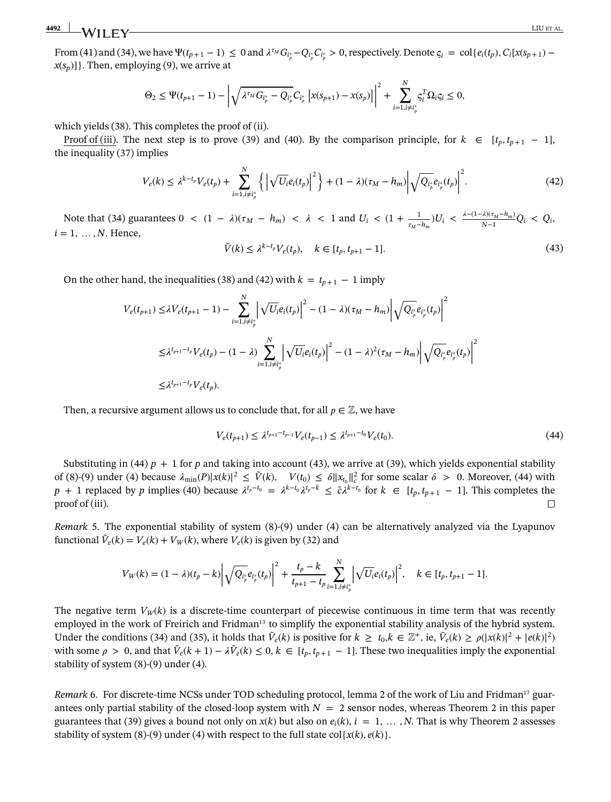From [\(41\)](#page-12-1) and [\(34\)](#page-11-6), we have  $\Psi(t_{p+1}-1) \leq 0$  and  $\lambda^{\tau_M} G_{i_p^*} - Q_{i_p^*} C_{i_p^*} > 0$ , respectively. Denote  $\varsigma_i = \text{col}\{e_i(t_p), C_i[x(s_{p+1})-\tau]$  $x(s_p)$ ]. Then, employing [\(9\)](#page-4-2), we arrive at

$$
\Theta_2 \leq \Psi(t_{p+1}-1) - \left| \sqrt{\lambda^{t_M} G_{i_p^*} - Q_{i_p^*}} C_{i_p^*} \left[ x(s_{p+1}) - x(s_p) \right] \right|^2 + \sum_{i=1, i \neq i_p^*}^N \varsigma_i^T \Omega_i \varsigma_i \leq 0,
$$

which yields [\(38\)](#page-12-2). This completes the proof of (ii).

Proof of (iii). The next step is to prove [\(39\)](#page-12-3) and [\(40\)](#page-12-0). By the comparison principle, for  $k \in [t_p, t_{p+1} - 1]$ , the inequality [\(37\)](#page-11-4) implies

<span id="page-13-2"></span><span id="page-13-0"></span>
$$
V_e(k) \leq \lambda^{k-t_p} V_e(t_p) + \sum_{i=1, i \neq i_p^*}^N \left\{ \left| \sqrt{U_i} e_i(t_p) \right|^2 \right\} + (1 - \lambda)(\tau_M - h_m) \left| \sqrt{Q_{i_p^*}} e_{i_p^*}(t_p) \right|^2. \tag{42}
$$

Note that [\(34\)](#page-11-6) guarantees  $0 < (1 - \lambda)(\tau_M - h_m) < \lambda < 1$  and  $U_i < (1 + \frac{1}{\tau_M - h_m})U_i < \frac{\lambda - (1 - \lambda)(\tau_M - h_m)}{N - 1}Q_i < Q_i$ ,  $i = 1, \ldots, N$ . Hence,

<span id="page-13-1"></span>
$$
\tilde{V}(k) \le \lambda^{k-t_p} V_e(t_p), \quad k \in [t_p, t_{p+1} - 1]. \tag{43}
$$

On the other hand, the inequalities [\(38\)](#page-12-2) and [\(42\)](#page-13-0) with  $k = t_{p+1} - 1$  imply

$$
V_e(t_{p+1}) \leq \lambda V_e(t_{p+1} - 1) - \sum_{i=1, i \neq i_p^*}^N \left| \sqrt{U_i} e_i(t_p) \right|^2 - (1 - \lambda)(\tau_M - h_m) \left| \sqrt{Q_{i_p^*}} e_{i_p^*}(t_p) \right|^2
$$
  

$$
\leq \lambda^{t_{p+1} - t_p} V_e(t_p) - (1 - \lambda) \sum_{i=1, i \neq i_p^*}^N \left| \sqrt{U_i} e_i(t_p) \right|^2 - (1 - \lambda)^2 (\tau_M - h_m) \left| \sqrt{Q_{i_p^*}} e_{i_p^*}(t_p) \right|^2
$$
  

$$
\leq \lambda^{t_{p+1} - t_p} V_e(t_p).
$$

Then, a recursive argument allows us to conclude that, for all  $p \in \mathbb{Z}$ , we have

<span id="page-13-5"></span>
$$
V_e(t_{p+1}) \le \lambda^{t_{p+1} - t_{p-1}} V_e(t_{p-1}) \le \lambda^{t_{p+1} - t_0} V_e(t_0).
$$
\n(44)

Substituting in [\(44\)](#page-13-1)  $p + 1$  for  $p$  and taking into account [\(43\)](#page-13-2), we arrive at [\(39\)](#page-12-3), which yields exponential stability of [\(8\)](#page-4-1)-[\(9\)](#page-4-2) under [\(4\)](#page-3-4) because  $\lambda_{\min}(P)|x(k)|^2 \le \tilde{V}(k)$ ,  $V(t_0) \le \delta ||x_{t_0}||_c^2$  for some scalar  $\delta > 0$ . Moreover, [\(44\)](#page-13-1) with *p* + 1 replaced by *p* implies [\(40\)](#page-12-0) because  $\lambda^{t_p-t_0} = \lambda^{k-t_0} \lambda^{t_p-k} \leq \tilde{c} \lambda^{k-t_0}$  for  $k \in [t_p, t_{p+1} - 1]$ . This completes the proof of (iii).  $\Box$ 

<span id="page-13-3"></span>*Remark* [5.](#page-13-3) The exponential stability of system [\(8\)](#page-4-1)-[\(9\)](#page-4-2) under [\(4\)](#page-3-4) can be alternatively analyzed via the Lyapunov functional  $\tilde{V}_e(k) = V_e(k) + V_W(k)$ , where  $V_e(k)$  is given by [\(32\)](#page-11-1) and

$$
V_W(k)=(1-\lambda)(t_p-k)\left|\sqrt{Q_{i_p}e_{i_p^*}(t_p)}\right|^2+\frac{t_p-k}{t_{p+1}-t_p}\sum_{i=1,i\neq i_p^*}^{N}\left|\sqrt{U_i}e_i(t_p)\right|^2,\quad k\in[t_p,t_{p+1}-1].
$$

The negative term  $V_W(k)$  is a discrete-time counterpart of piecewise continuous in time term that was recently employed in the work of Freirich and Fridman<sup>13</sup> to simplify the exponential stability analysis of the hybrid system. Under the conditions [\(34\)](#page-11-6) and [\(35\)](#page-11-5), it holds that  $\tilde{V}_e(k)$  is positive for  $k \ge t_0, k \in \mathbb{Z}^+$ , ie,  $\tilde{V}_e(k) \ge \rho(|x(k)|^2 + |e(k)|^2)$ with some  $\rho > 0$ , and that  $\tilde{V}_e(k+1) - \lambda \tilde{V}_e(k) \leq 0, k \in [t_p, t_{p+1} - 1]$ . These two inequalities imply the exponential stability of system [\(8\)](#page-4-1)-[\(9\)](#page-4-2) under [\(4\)](#page-3-4).

<span id="page-13-4"></span>*Remark* [6.](#page-13-4) For discrete-time NCSs under TOD scheduling protocol, lemma 2 of the work of Liu and Fridman<sup>17</sup> guarantees only partial stability of the closed-loop system with  $N = 2$  $N = 2$  sensor nodes, whereas Theorem 2 in this paper guarantees that [\(39\)](#page-12-3) gives a bound not only on  $x(k)$  but also on  $e_i(k)$ ,  $i = 1, \ldots, N$ . That is why Theorem [2](#page-12-0) assesses stability of system [\(8\)](#page-4-1)-[\(9\)](#page-4-2) under [\(4\)](#page-3-4) with respect to the full state col{ $x(k)$ *, e*( $k$ )}.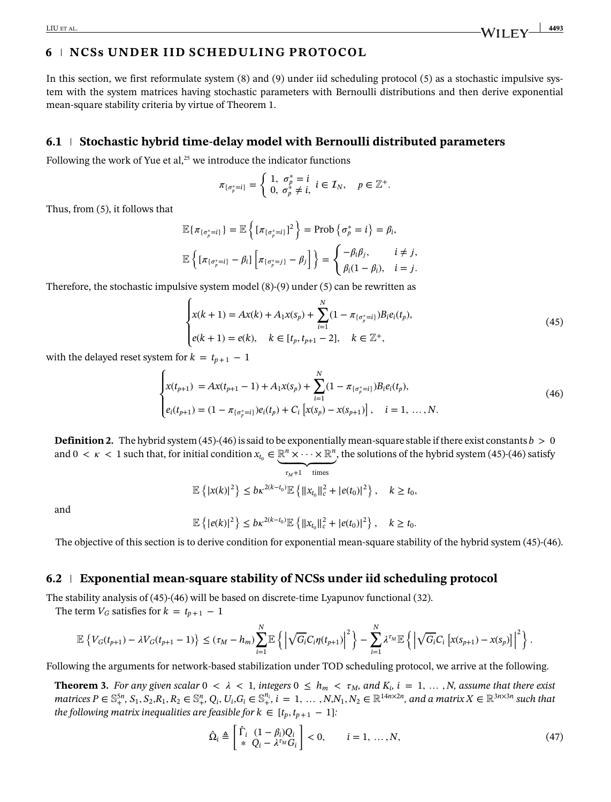# **6 NCSs UNDER IID SCHEDULING PROTOCOL**

In this section, we first reformulate system [\(8\)](#page-4-1) and [\(9\)](#page-4-2) under iid scheduling protocol [\(5\)](#page-3-5) as a stochastic impulsive system with the system matrices having stochastic parameters with Bernoulli distributions and then derive exponential mean-square stability criteria by virtue of Theorem [1.](#page-6-4)

## **6.1 Stochastic hybrid time-delay model with Bernoulli distributed parameters**

Following the work of Yue et al, $25$  we introduce the indicator functions

$$
\pi_{\{\sigma_p^*=i\}}=\begin{cases} 1, & \sigma_p^*=i\\ 0, & \sigma_p^*\neq i, \ i\in\mathcal{I}_N, \quad p\in\mathbb{Z}^+.\end{cases}
$$

Thus, from [\(5\)](#page-3-5), it follows that

$$
\mathbb{E}\{\pi_{\{\sigma_p^*=i\}}\} = \mathbb{E}\left\{\left[\pi_{\{\sigma_p^*=i\}}\right]^2\right\} = \text{Prob}\left\{\sigma_p^*=i\right\} = \beta_i,
$$
\n
$$
\mathbb{E}\left\{\left[\pi_{\{\sigma_p^*=i\}} - \beta_i\right] \left[\pi_{\{\sigma_p^*=j\}} - \beta_j\right]\right\} = \begin{cases} -\beta_i\beta_j, & i \neq j, \\ \beta_i(1-\beta_i), & i = j. \end{cases}
$$

Therefore, the stochastic impulsive system model  $(8)-(9)$  $(8)-(9)$  $(8)-(9)$  under  $(5)$  can be rewritten as

<span id="page-14-2"></span>
$$
\begin{cases}\nx(k+1) = Ax(k) + A_1x(s_p) + \sum_{i=1}^{N} (1 - \pi_{\{\sigma_p^* = i\}}) B_i e_i(t_p), \\
e(k+1) = e(k), \quad k \in [t_p, t_{p+1} - 2], \quad k \in \mathbb{Z}^+, \n\end{cases}
$$
\n(45)

with the delayed reset system for  $k = t_{p+1} - 1$ 

$$
\begin{cases}\nx(t_{p+1}) = Ax(t_{p+1} - 1) + A_1 x(s_p) + \sum_{i=1}^N (1 - \pi_{\{\sigma_p^* = i\}}) B_i e_i(t_p), \\
e_i(t_{p+1}) = (1 - \pi_{\{\sigma_p^* = i\}}) e_i(t_p) + C_i \left[ x(s_p) - x(s_{p+1}) \right], \quad i = 1, ..., N.\n\end{cases}
$$
\n(46)

<span id="page-14-0"></span>**Definition [2.](#page-14-0)** The hybrid system [\(45\)](#page-14-1)-[\(46\)](#page-14-2) is said to be exponentially mean-square stable if there exist constants  $b > 0$ and  $0 < \kappa < 1$  such that, for initial condition  $x_{t_0} \in \mathbb{R}^n \times \cdots \times \mathbb{R}^n$ , the solutions of the hybrid system [\(45\)](#page-14-1)-[\(46\)](#page-14-2) satisfy

<span id="page-14-1"></span>
$$
\tau_M+1 \quad \text{times}
$$

$$
\mathbb{E}\left\{|x(k)|^2\right\} \leq b\kappa^{2(k-t_0)}\mathbb{E}\left\{\|x_{t_0}\|_c^2 + |e(t_0)|^2\right\}, \quad k \geq t_0,
$$

and

$$
\mathbb{E}\left\{|e(k)|^2\right\} \leq b\kappa^{2(k-t_0)}\mathbb{E}\left\{\|x_{t_0}\|_c^2+|e(t_0)|^2\right\}, \quad k \geq t_0.
$$

The objective of this section is to derive condition for exponential mean-square stability of the hybrid system [\(45\)](#page-14-1)-[\(46\)](#page-14-2).

### **6.2 Exponential mean-square stability of NCSs under iid scheduling protocol**

The stability analysis of [\(45\)](#page-14-1)-[\(46\)](#page-14-2) will be based on discrete-time Lyapunov functional [\(32\)](#page-11-1).

The term  $V_G$  satisfies for  $k = t_{p+1} - 1$ 

$$
\mathbb{E}\left\{V_G(t_{p+1})-\lambda V_G(t_{p+1}-1)\right\}\leq (\tau_M-h_m)\sum_{i=1}^N\mathbb{E}\left\{\left|\sqrt{G_i}C_i\eta(t_{p+1})\right|^2\right\}-\sum_{i=1}^N\lambda^{\tau_M}\mathbb{E}\left\{\left|\sqrt{G_i}C_i\left[x(s_{p+1})-x(s_p)\right]\right|^2\right\}.
$$

Following the arguments for network-based stabilization under TOD scheduling protocol, we arrive at the following.

<span id="page-14-3"></span>**Theorem [3.](#page-14-3)** For any given scalar  $0 < \lambda < 1$ , integers  $0 \le h_m < \tau_M$ , and  $K_i$ ,  $i = 1, ..., N$ , assume that there exist matrices  $P \in \mathbb{S}_+^{5n}$ ,  $S_1, S_2, R_1, R_2 \in \mathbb{S}_+^n$ ,  $Q_i, U_i, G_i \in \mathbb{S}_+^{n_i}$ ,  $i = 1, ..., N, N_1, N_2 \in \mathbb{R}^{14n \times 2n}$ , and a matrix  $X \in \mathbb{R}^{3n \times 3n}$  such that *the following matrix inequalities are feasible for*  $k \in [t_p, t_{p+1} - 1]$ *:* 

<span id="page-14-4"></span>
$$
\hat{\Omega}_i \triangleq \begin{bmatrix} \hat{\Gamma}_i & (1 - \beta_i) Q_i \\ * & Q_i - \lambda^{\tau_M} G_i \end{bmatrix} < 0, \qquad i = 1, \dots, N,\tag{47}
$$

LIU ET AL. **4493**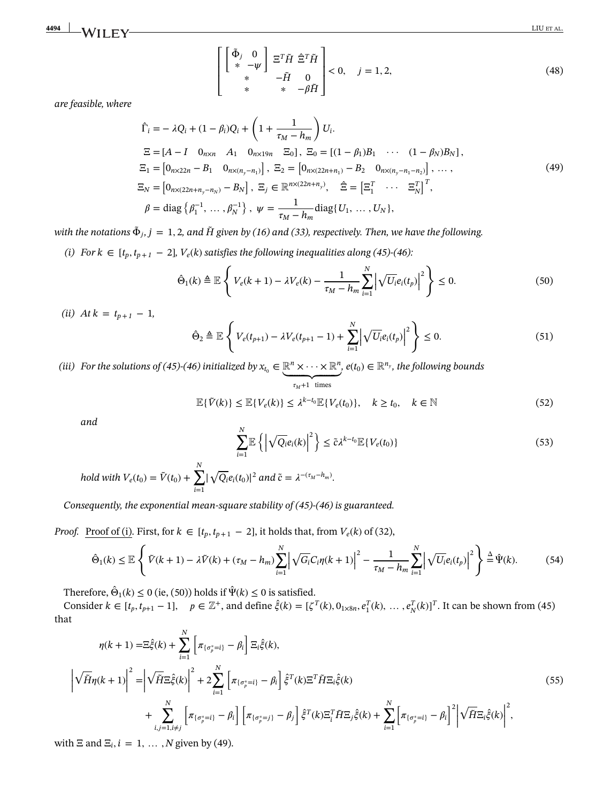<span id="page-15-2"></span>**4494 LIU ET AL.** LIU ET AL.

$$
\begin{bmatrix}\n\begin{bmatrix}\n\tilde{\Phi}_j & 0 \\
\ast & -\psi\n\end{bmatrix} \n\begin{bmatrix}\n\Xi^T \tilde{H} & \hat{\Xi}^T \tilde{H} \\
\ast & -\tilde{H} & 0 \\
\ast & \ast & -\beta \tilde{H}\n\end{bmatrix} < 0, \quad j = 1, 2,\n\end{bmatrix}
$$
\n
$$
(48)
$$

*are feasible, where*

<span id="page-15-1"></span>
$$
\hat{\Gamma}_i = -\lambda Q_i + (1 - \beta_i) Q_i + \left( 1 + \frac{1}{\tau_M - h_m} \right) U_i.
$$
\n
$$
\Xi = [A - I \quad 0_{n \times n} \quad A_1 \quad 0_{n \times 19n} \quad \Xi_0], \ \Xi_0 = [(1 - \beta_1)B_1 \quad \cdots \quad (1 - \beta_N)B_N],
$$
\n
$$
\Xi_1 = [0_{n \times 22n} - B_1 \quad 0_{n \times (n_y - n_1)}], \ \Xi_2 = [0_{n \times (22n + n_1)} - B_2 \quad 0_{n \times (n_y - n_1 - n_2)}], \ \cdots,
$$
\n
$$
\Xi_N = [0_{n \times (22n + n_y - n_N)} - B_N], \ \Xi_j \in \mathbb{R}^{n \times (22n + n_y)}, \quad \hat{\Xi} = [\Xi_1^T \quad \cdots \quad \Xi_N^T]^T,
$$
\n
$$
\beta = \text{diag} \{\beta_1^{-1}, \dots, \beta_N^{-1}\}, \ \psi = \frac{1}{\tau_M - h_m} \text{diag} \{U_1, \dots, U_N\},
$$
\n(49)

*with the notations*  $\tilde{\Phi}_i$ ,  $j = 1, 2$ , and  $\tilde{H}$  given by [\(16\)](#page-6-6) and [\(33\)](#page-11-3), respectively. Then, we have the following.

*(i)* For  $k \in [t_p, t_{p+1} − 2]$ ,  $V_e(k)$  satisfies the following inequalities along [\(45\)](#page-14-1)-[\(46\)](#page-14-2):  $\overline{\phantom{a}}$ 

$$
\hat{\Theta}_1(k) \triangleq \mathbb{E}\left\{ V_e(k+1) - \lambda V_e(k) - \frac{1}{\tau_M - h_m} \sum_{i=1}^N \left| \sqrt{U_i} e_i(t_p) \right|^2 \right\} \le 0.
$$
\n(50)

 $(ii)$  *At*  $k = t_{p+1} - 1$ *,* 

<span id="page-15-4"></span><span id="page-15-0"></span>
$$
\hat{\Theta}_2 \triangleq \mathbb{E}\left\{ V_e(t_{p+1}) - \lambda V_e(t_{p+1} - 1) + \sum_{i=1}^N \left| \sqrt{U_i} e_i(t_p) \right|^2 \right\} \le 0.
$$
\n(51)

*(iii)* For the solutions of [\(45\)](#page-14-1)-[\(46\)](#page-14-2) initialized by  $x_{t_0} \in \mathbb{R}^n \times \cdots \times \mathbb{R}^n$ ,  $e(t_0) \in \mathbb{R}^{n_y}$ , the following bounds

$$
\tau_M + 1 \text{ times}
$$
  

$$
\mathbb{E}\{\tilde{V}(k)\} \le \mathbb{E}\{V_e(k)\} \le \lambda^{k-t_0} \mathbb{E}\{V_e(t_0)\}, \quad k \ge t_0, \quad k \in \mathbb{N}
$$
 (52)

<span id="page-15-6"></span>*and*

<span id="page-15-5"></span><span id="page-15-3"></span>
$$
\sum_{i=1}^{N} \mathbb{E}\left\{ \left| \sqrt{Q_i} e_i(k) \right|^2 \right\} \leq \tilde{c} \lambda^{k-t_0} \mathbb{E}\{ V_e(t_0) \}
$$
\n(53)

 $h$ old with  $V_e(t_0) = \tilde{V}(t_0) + \sum_{i=1}^{N}$ *i*=1 | √ $\overline{Q_i}e_i(t_0)|^2$  and  $\tilde{c} = \lambda^{-(\tau_M - h_m)}$ .

*Consequently, the exponential mean-square stability of [\(45\)](#page-14-1)<sup>-</sup>[\(46\)](#page-14-2) is guaranteed.* 

*Proof.* <u>Proof of (i</u>). First, for  $k \in [t_p, t_{p+1} - 2]$ , it holds that, from  $V_e(k)$  of [\(32\)](#page-11-1),

$$
\hat{\Theta}_1(k) \leq \mathbb{E}\left\{\tilde{V}(k+1) - \lambda \tilde{V}(k) + (\tau_M - h_m) \sum_{i=1}^N \left|\sqrt{G_i}C_i\eta(k+1)\right|^2 - \frac{1}{\tau_M - h_m} \sum_{i=1}^N \left|\sqrt{U_i}e_i(t_p)\right|^2\right\} \stackrel{\Delta}{=} \hat{\Psi}(k). \tag{54}
$$

Therefore,  $\hat{\Theta}_1(k) \le 0$  (ie, [\(50\)](#page-15-0)) holds if  $\hat{\Psi}(k) \le 0$  is satisfied.

Consider  $k \in [t_p, t_{p+1} - 1]$ ,  $p \in \mathbb{Z}^+$ , and define  $\hat{\xi}(k) = [\zeta^T(k), 0_{1 \times 8n}, e_1^T(k), \dots, e_N^T(k)]^T$ . It can be shown from [\(45\)](#page-14-1) that

$$
\eta(k+1) = \Xi_{\xi}^{\hat{\xi}}(k) + \sum_{i=1}^{N} \left[ \pi_{\{\sigma_{p}^{*}=i\}} - \beta_{i} \right] \Xi_{i}\hat{\xi}(k),
$$
\n
$$
\left| \sqrt{\tilde{H}} \eta(k+1) \right|^{2} = \left| \sqrt{\tilde{H}} \Xi_{\xi}^{\hat{\xi}}(k) \right|^{2} + 2 \sum_{i=1}^{N} \left[ \pi_{\{\sigma_{p}^{*}=i\}} - \beta_{i} \right] \hat{\xi}^{T}(k) \Xi^{T} \tilde{H} \Xi_{i}\hat{\xi}(k)
$$
\n
$$
+ \sum_{i,j=1, i \neq j}^{N} \left[ \pi_{\{\sigma_{p}^{*}=i\}} - \beta_{i} \right] \left[ \pi_{\{\sigma_{p}^{*}=j\}} - \beta_{j} \right] \hat{\xi}^{T}(k) \Xi_{i}^{T} \tilde{H} \Xi_{j}\hat{\xi}(k) + \sum_{i=1}^{N} \left[ \pi_{\{\sigma_{p}^{*}=i\}} - \beta_{i} \right]^{2} \left| \sqrt{\tilde{H}} \Xi_{i}\hat{\xi}(k) \right|^{2},
$$
\n(55)

with  $\Xi$  and  $\Xi$ *<sub>i</sub>*,  $i = 1, ..., N$  given by [\(49\)](#page-15-1).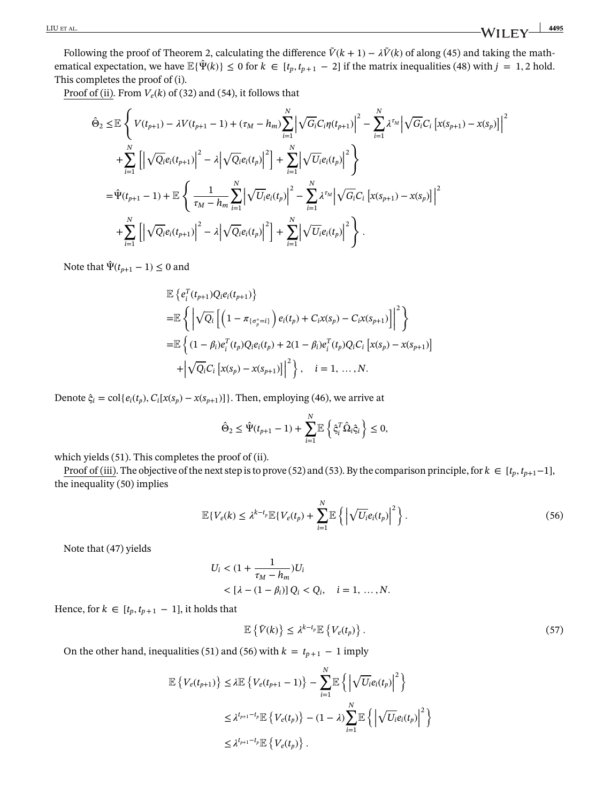Following the proof of Theorem [2,](#page-12-0) calculating the difference  $\tilde{V}(k + 1) - \lambda \tilde{V}(k)$  of along [\(45\)](#page-14-1) and taking the mathematical expectation, we have  $\mathbb{E}\{\hat{\Psi}(k)\}\leq 0$  for  $k \in [t_p, t_{p+1} - 2]$  if the matrix inequalities [\(48\)](#page-15-2) with  $j = 1, 2$  hold. This completes the proof of (i).

Proof of (ii). From  $V_e(k)$  of [\(32\)](#page-11-1) and [\(54\)](#page-15-3), it follows that

<span id="page-16-0"></span>
$$
\hat{\Theta}_{2} \leq \mathbb{E} \left\{ V(t_{p+1}) - \lambda V(t_{p+1} - 1) + (\tau_{M} - h_{m}) \sum_{i=1}^{N} \left| \sqrt{G_{i}} C_{i} \eta(t_{p+1}) \right|^{2} - \sum_{i=1}^{N} \lambda^{\tau_{M}} \left| \sqrt{G_{i}} C_{i} \left[ x(s_{p+1}) - x(s_{p}) \right] \right|^{2} \right\} \n+ \sum_{i=1}^{N} \left[ \left| \sqrt{Q_{i}} e_{i}(t_{p+1}) \right|^{2} - \lambda \left| \sqrt{Q_{i}} e_{i}(t_{p}) \right|^{2} \right] + \sum_{i=1}^{N} \left| \sqrt{U_{i}} e_{i}(t_{p}) \right|^{2} \right\} \n= \hat{\Psi}(t_{p+1} - 1) + \mathbb{E} \left\{ \frac{1}{\tau_{M} - h_{m}} \sum_{i=1}^{N} \left| \sqrt{U_{i}} e_{i}(t_{p}) \right|^{2} - \sum_{i=1}^{N} \lambda^{\tau_{M}} \left| \sqrt{G_{i}} C_{i} \left[ x(s_{p+1}) - x(s_{p}) \right] \right|^{2} \right. \n+ \sum_{i=1}^{N} \left[ \left| \sqrt{Q_{i}} e_{i}(t_{p+1}) \right|^{2} - \lambda \left| \sqrt{Q_{i}} e_{i}(t_{p}) \right|^{2} \right] + \sum_{i=1}^{N} \left| \sqrt{U_{i}} e_{i}(t_{p}) \right|^{2} \right\} .
$$

Note that  $\hat{\Psi}(t_{p+1} - 1) \leq 0$  and

$$
\mathbb{E}\left\{e_{i}^{T}(t_{p+1})Q_{i}e_{i}(t_{p+1})\right\}
$$
\n
$$
=\mathbb{E}\left\{\left|\sqrt{Q_{i}}\left[\left(1-\pi_{\{\sigma_{p}^{*}=i\}}\right)e_{i}(t_{p})+C_{i}x(s_{p})-C_{i}x(s_{p+1})\right]\right|^{2}\right\}
$$
\n
$$
=\mathbb{E}\left\{(1-\beta_{i})e_{i}^{T}(t_{p})Q_{i}e_{i}(t_{p})+2(1-\beta_{i})e_{i}^{T}(t_{p})Q_{i}C_{i}\left[x(s_{p})-x(s_{p+1})\right]\right.\right.
$$
\n
$$
+\left|\sqrt{Q_{i}}C_{i}\left[x(s_{p})-x(s_{p+1})\right]\right|^{2}\right\}, i=1,...,N.
$$

Denote  $\hat{\zeta}_i = \text{col}\lbrace e_i(t_p), C_i[x(s_p) - x(s_{p+1})]\rbrace$ . Then, employing [\(46\)](#page-14-2), we arrive at

$$
\hat{\Theta}_2 \leq \hat{\Psi}(t_{p+1} - 1) + \sum_{i=1}^N \mathbb{E} \left\{ \hat{\varsigma}_i^T \hat{\Omega}_i \hat{\varsigma}_i \right\} \leq 0,
$$

which yields [\(51\)](#page-15-4). This completes the proof of (ii).

Proof of (iii). The objective of the next step is to prove [\(52\)](#page-15-5) and [\(53\)](#page-15-6). By the comparison principle, for  $k \in [t_p, t_{p+1}-1]$ , the inequality [\(50\)](#page-15-0) implies

$$
\mathbb{E}\left\{V_e(k)\leq \lambda^{k-t_p}\mathbb{E}\left\{V_e(t_p)+\sum_{i=1}^N\mathbb{E}\left\{\left|\sqrt{U_i}e_i(t_p)\right|^2\right\}\right\}.
$$
\n(56)

Note that [\(47\)](#page-14-4) yields

$$
U_i < (1 + \frac{1}{\tau_M - h_m}) U_i \\
 < [\lambda - (1 - \beta_i)] Q_i < Q_i, \quad i = 1, \dots, N.
$$

Hence, for  $k \in [t_p, t_{p+1} - 1]$ , it holds that

<span id="page-16-1"></span>
$$
\mathbb{E}\left\{\tilde{V}(k)\right\} \leq \lambda^{k-t_p} \mathbb{E}\left\{V_e(t_p)\right\}.
$$
\n(57)

On the other hand, inequalities [\(51\)](#page-15-4) and [\(56\)](#page-16-0) with  $k = t_{p+1} - 1$  imply

$$
\mathbb{E}\left\{V_e(t_{p+1})\right\} \leq \lambda \mathbb{E}\left\{V_e(t_{p+1}-1)\right\} - \sum_{i=1}^N \mathbb{E}\left\{\left|\sqrt{U_i}e_i(t_p)\right|^2\right\}
$$
  

$$
\leq \lambda^{t_{p+1}-t_p} \mathbb{E}\left\{V_e(t_p)\right\} - (1-\lambda)\sum_{i=1}^N \mathbb{E}\left\{\left|\sqrt{U_i}e_i(t_p)\right|^2\right\}
$$
  

$$
\leq \lambda^{t_{p+1}-t_p} \mathbb{E}\left\{V_e(t_p)\right\}.
$$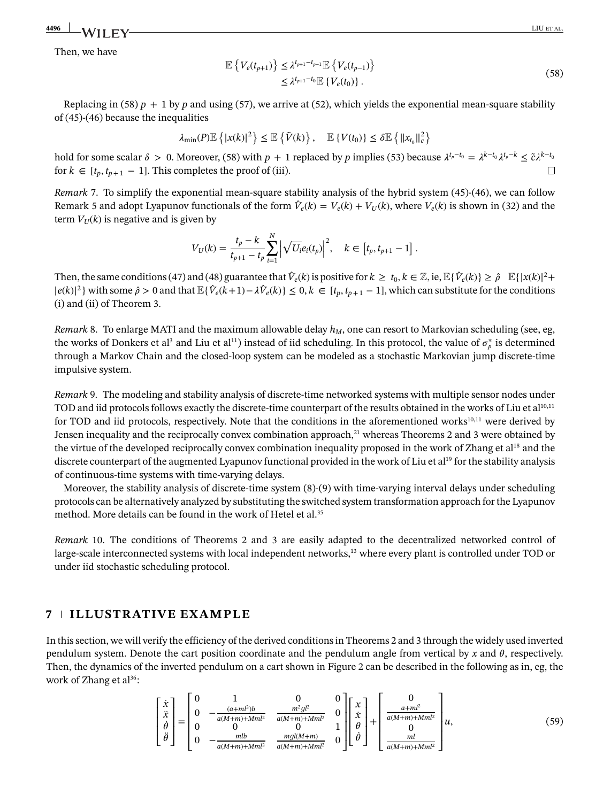# <u> 4496 | N/ILEN CONTROL CONTROL CONTROL CONTROL CONTROL CONTROL CONTROL CONTROL CONTROL CONTROL CONTROL CONTROL CONTROL CONTROL CONTROL CONTROL CONTROL CONTROL CONTROL CONTROL CONTROL CONTROL CONTROL CONTROL CONTROL CONTRO</u>

<span id="page-17-0"></span>Then, we have

$$
\mathbb{E}\left\{V_e(t_{p+1})\right\} \leq \lambda^{t_{p+1}-t_{p-1}} \mathbb{E}\left\{V_e(t_{p-1})\right\} \leq \lambda^{t_{p+1}-t_0} \mathbb{E}\left\{V_e(t_0)\right\}.
$$
\n(58)

Replacing in [\(58\)](#page-17-0)  $p + 1$  by  $p$  and using [\(57\)](#page-16-1), we arrive at [\(52\)](#page-15-5), which yields the exponential mean-square stability of [\(45\)](#page-14-1)-[\(46\)](#page-14-2) because the inequalities

$$
\lambda_{\min}(P)\mathbb{E}\left\{|x(k)|^2\right\} \leq \mathbb{E}\left\{\tilde{V}(k)\right\}, \quad \mathbb{E}\left\{V(t_0)\right\} \leq \delta \mathbb{E}\left\{\|x_{t_0}\|_c^2\right\}
$$

hold for some scalar  $\delta > 0$ . Moreover, [\(58\)](#page-17-0) with  $p + 1$  replaced by  $p$  implies [\(53\)](#page-15-6) because  $\lambda^{t_p - t_0} = \lambda^{k-t_0} \lambda^{t_p - k} \leq \tilde{c} \lambda^{k-t_0}$ for  $k \in [t_p, t_{p+1} - 1]$ . This completes the proof of (iii).  $\Box$ 

<span id="page-17-1"></span>*Remark* [7.](#page-17-1) To simplify the exponential mean-square stability analysis of the hybrid system [\(45\)](#page-14-1)-[\(46\)](#page-14-2), we can follow Remark [5](#page-13-5) and adopt Lyapunov functionals of the form  $\hat{V}_e(k) = V_e(k) + V_{U}(k)$ , where  $V_e(k)$  is shown in [\(32\)](#page-11-1) and the term  $V_U(k)$  is negative and is given by

$$
V_U(k) = \frac{t_p - k}{t_{p+1} - t_p} \sum_{i=1}^{N} \left| \sqrt{U_i} e_i(t_p) \right|^2, \quad k \in [t_p, t_{p+1} - 1].
$$

Then, the same conditions [\(47\)](#page-14-4) and [\(48\)](#page-15-2) guarantee that  $\hat{V}_e(k)$  is positive for  $k \ge t_0, k \in \mathbb{Z}$ , ie,  $\mathbb{E}\{\hat{V}_e(k)\} \ge \hat{\rho} \quad \mathbb{E}\{|x(k)|^2 +$  $|e(k)|^2$  with some  $\hat{\rho} > 0$  and that  $\mathbb{E}\{\hat{V}_e(k+1) - \lambda \hat{V}_e(k)\} \leq 0, k \in [t_p, t_{p+1} - 1]$ , which can substitute for the conditions (i) and (ii) of Theorem [3.](#page-15-6)

<span id="page-17-2"></span>*Remark* [8.](#page-17-2) To enlarge MATI and the maximum allowable delay  $h_M$ , one can resort to Markovian scheduling (see, eg, the works of Donkers et al<sup>3</sup> and Liu et al<sup>11</sup>) instead of iid scheduling. In this protocol, the value of  $\sigma_p^*$  is determined through a Markov Chain and the closed-loop system can be modeled as a stochastic Markovian jump discrete-time impulsive system.

<span id="page-17-3"></span>*Remark* [9.](#page-17-3) The modeling and stability analysis of discrete-time networked systems with multiple sensor nodes under TOD and iid protocols follows exactly the discrete-time counterpart of the results obtained in the works of Liu et al<sup>10,[11](#page-20-2)</sup> for TOD and iid protocols, respectively. Note that the conditions in the aforementioned works<sup>10,[11](#page-20-2)</sup> were derived by Jensen inequality and the reciprocally convex combination approach, $2<sup>1</sup>$  whereas Theorems [2](#page-12-0) and [3](#page-15-6) were obtained by the virtue of the developed reciprocally convex combination inequality proposed in the work of Zhang et a[l18](#page-20-9) and the discrete counterpart of the augmented Lyapunov functional provided in the work of Liu et al<sup>19</sup> for the stability analysis of continuous-time systems with time-varying delays.

Moreover, the stability analysis of discrete-time system [\(8\)](#page-4-1)-[\(9\)](#page-4-2) with time-varying interval delays under scheduling protocols can be alternatively analyzed by substituting the switched system transformation approach for the Lyapunov method. More details can be found in the work of Hetel et al.<sup>35</sup>

<span id="page-17-4"></span>*Remark* [10.](#page-17-4) The conditions of Theorems [2](#page-12-0) and [3](#page-15-6) are easily adapted to the decentralized networked control of large-scale interconnected systems with local independent networks,<sup>13</sup> where every plant is controlled under TOD or under iid stochastic scheduling protocol.

# **7 ILLUSTRATIVE EXAMPLE**

In this section, we will verify the efficiency of the derived conditions in Theorems [2](#page-12-0) and [3](#page-15-6) through the widely used inverted pendulum system. Denote the cart position coordinate and the pendulum angle from vertical by  $x$  and  $\theta$ , respectively. Then, the dynamics of the inverted pendulum on a cart shown in Figure [2](#page-18-0) can be described in the following as in, eg, the work of Zhang et al<sup>36</sup>:

<span id="page-17-5"></span>
$$
\begin{bmatrix} \dot{x} \\ \ddot{x} \\ \dot{\theta} \\ \ddot{\theta} \end{bmatrix} = \begin{bmatrix} 0 & 1 & 0 & 0 \\ 0 & -\frac{(a+ml^2)b}{a(M+m)+Mml^2} & \frac{m^2gl^2}{a(M+m)+Mml^2} & 0 \\ 0 & 0 & 0 & 1 \\ 0 & -\frac{mlb}{a(M+m)+Mml^2} & \frac{mgl(M+m)}{a(M+m)+Mml^2} & 0 \end{bmatrix} \begin{bmatrix} x \\ \dot{x} \\ \theta \\ \dot{\theta} \end{bmatrix} + \begin{bmatrix} 0 \\ \frac{a+ml^2}{a(M+m)^2} \\ 0 \\ \frac{ml}{a(M+m)+Mml^2} \end{bmatrix} u,
$$
 (59)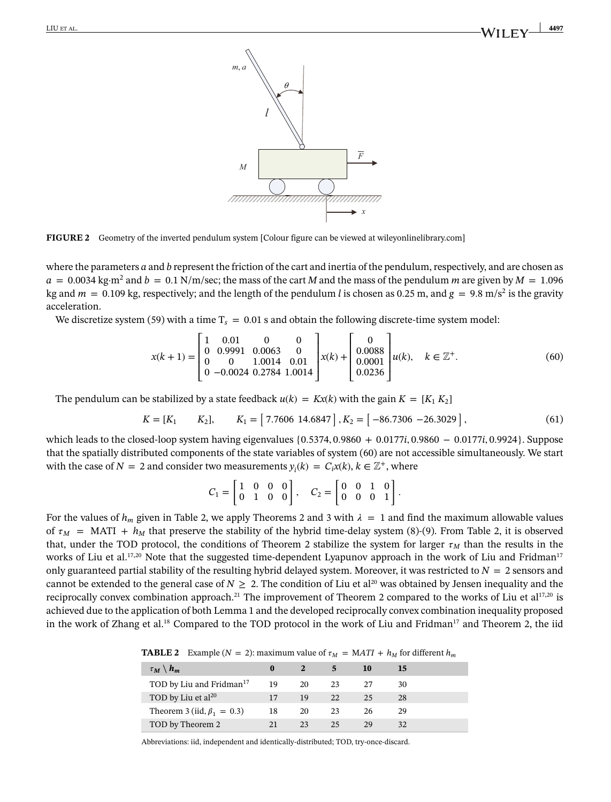

<span id="page-18-0"></span>**FIGURE 2** Geometry of the inverted pendulum system [Colour figure can be viewed at [wileyonlinelibrary.com\]](http://wileyonlinelibrary.com)

where the parameters *a* and *b* represent the friction of the cart and inertia of the pendulum, respectively, and are chosen as  $a = 0.0034 \text{ kg} \cdot \text{m}^2$  and  $b = 0.1 \text{ N/m/sec}$ ; the mass of the cart *M* and the mass of the pendulum *m* are given by  $M = 1.096$ kg and  $m = 0.109$  kg, respectively; and the length of the pendulum *l* is chosen as 0.25 m, and  $g = 9.8$  m/s<sup>2</sup> is the gravity acceleration.

We discretize system [\(59\)](#page-17-5) with a time  $T_s = 0.01$  s and obtain the following discrete-time system model:

$$
x(k+1) = \begin{bmatrix} 1 & 0.01 & 0 & 0 \\ 0 & 0.9991 & 0.0063 & 0 \\ 0 & 0 & 1.0014 & 0.01 \\ 0 & -0.0024 & 0.2784 & 1.0014 \end{bmatrix} x(k) + \begin{bmatrix} 0 \\ 0.0088 \\ 0.0001 \\ 0.0236 \end{bmatrix} u(k), \quad k \in \mathbb{Z}^{+}.
$$
 (60)

The pendulum can be stabilized by a state feedback  $u(k) = Kx(k)$  with the gain  $K = [K_1 K_2]$ 

$$
K = [K_1 \t K_2], \t K_1 = [7.7606 \t 14.6847], K_2 = [-86.7306 \t -26.3029],
$$
 (61)

which leads to the closed-loop system having eigenvalues {0*.*5374*,* 0*.*9860 + 0*.*0177*i,* 0*.*9860 − 0*.*0177*i,* 0*.*9924}. Suppose that the spatially distributed components of the state variables of system [\(60\)](#page-18-1) are not accessible simultaneously. We start with the case of  $N = 2$  and consider two measurements  $y_i(k) = C_i x(k)$ ,  $k \in \mathbb{Z}^+$ , where

<span id="page-18-3"></span><span id="page-18-1"></span>
$$
C_1 = \begin{bmatrix} 1 & 0 & 0 & 0 \\ 0 & 1 & 0 & 0 \end{bmatrix}, \quad C_2 = \begin{bmatrix} 0 & 0 & 1 & 0 \\ 0 & 0 & 0 & 1 \end{bmatrix}.
$$

For the values of  $h_m$  given in Table [2,](#page-18-2) we apply Theorems [2](#page-12-0) and [3](#page-15-6) with  $\lambda = 1$  and find the maximum allowable values of  $\tau_M$  = MATI +  $h_M$  that preserve the stability of the hybrid time-delay system [\(8\)](#page-4-1)-[\(9\)](#page-4-2). From Table [2,](#page-18-2) it is observed that, under the TOD protocol, the conditions of Theorem [2](#page-12-0) stabilize the system for larger  $\tau_M$  than the results in the works of Liu et al.<sup>17[,20](#page-20-11)</sup> Note that the suggested time-dependent Lyapunov approach in the work of Liu and Fridman<sup>17</sup> only guaranteed partial stability of the resulting hybrid delayed system. Moreover, it was restricted to  $N = 2$  sensors and cannot be extended to the general case of  $N \geq 2$ . The condition of Liu et al<sup>20</sup> was obtained by Jensen inequality and the reciprocally convex combination approach.<sup>21</sup> The improvement of Theorem [2](#page-12-0) compared to the works of Liu et al<sup>17[,20](#page-20-11)</sup> is achieved due to the application of both Lemma [1](#page-5-1) and the developed reciprocally convex combination inequality proposed in the work of Zhang et al.<sup>18</sup> Compared to the TOD protocol in the work of Liu and Fridman<sup>17</sup> and Theorem [2,](#page-12-0) the iid

**TABLE 2** Example (*N* = 2): maximum value of  $\tau_M$  = MATI +  $h_M$  for different  $h_m$ 

<span id="page-18-2"></span>

| $\tau_M \setminus h_m$               | $\bf{0}$ |    |    | 10 | 15 |  |
|--------------------------------------|----------|----|----|----|----|--|
| TOD by Liu and Fridman <sup>17</sup> | 19       | 20 | 23 | 27 | 30 |  |
| TOD by Liu et al <sup>20</sup>       | 17       | 19 | 22 | 25 | 28 |  |
| Theorem 3 (iid, $\beta_1 = 0.3$ )    | 18       | 20 | 23 | 26 | 29 |  |
| TOD by Theorem 2                     | 21       | 23 | 25 | 29 | 32 |  |

Abbreviations: iid, independent and identically-distributed; TOD, try-once-discard.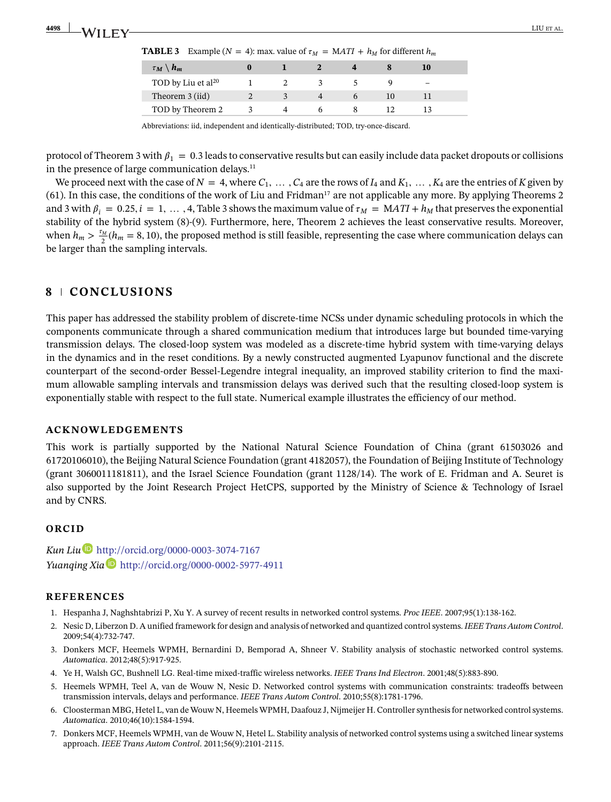|  | <b>TABLE 3</b> Example ( $N = 4$ ): max. value of $\tau_M = MATI + h_M$ for different $h_m$ |  |  |  |  |  |
|--|---------------------------------------------------------------------------------------------|--|--|--|--|--|
|--|---------------------------------------------------------------------------------------------|--|--|--|--|--|

<span id="page-19-8"></span>

| $\tau_M \setminus h_m$         |  |  |  |  |
|--------------------------------|--|--|--|--|
| TOD by Liu et al <sup>20</sup> |  |  |  |  |
| Theorem 3 (iid)                |  |  |  |  |
| TOD by Theorem 2               |  |  |  |  |

Abbreviations: iid, independent and identically-distributed; TOD, try-once-discard.

protocol of Theorem [3](#page-15-6) with  $\beta_1 = 0.3$  leads to conservative results but can easily include data packet dropouts or collisions in the presence of large communication delays. $11$ 

We proceed next with the case of  $N = 4$ , where  $C_1, \ldots, C_4$  are the rows of  $I_4$  and  $K_1, \ldots, K_4$  are the entries of *K* given by [\(61\)](#page-18-3). In this case, the conditions of the work of Liu and Fridma[n17](#page-20-8) are not applicable any more. By applying Theorems [2](#page-12-0) and [3](#page-19-8) with  $\beta_i = 0.25$ ,  $i = 1, \ldots, 4$ , Table 3 shows the maximum value of  $\tau_M = MATI + h_M$  that preserves the exponential stability of the hybrid system [\(8\)](#page-4-1)-[\(9\)](#page-4-2). Furthermore, here, Theorem [2](#page-12-0) achieves the least conservative results. Moreover, when  $h_m > \frac{\tau_M}{2}(h_m = 8, 10)$ , the proposed method is still feasible, representing the case where communication delays can be larger than the sampling intervals.

# **8 CONCLUSIONS**

This paper has addressed the stability problem of discrete-time NCSs under dynamic scheduling protocols in which the components communicate through a shared communication medium that introduces large but bounded time-varying transmission delays. The closed-loop system was modeled as a discrete-time hybrid system with time-varying delays in the dynamics and in the reset conditions. By a newly constructed augmented Lyapunov functional and the discrete counterpart of the second-order Bessel-Legendre integral inequality, an improved stability criterion to find the maximum allowable sampling intervals and transmission delays was derived such that the resulting closed-loop system is exponentially stable with respect to the full state. Numerical example illustrates the efficiency of our method.

### **ACKNOWLEDGEMENTS**

This work is partially supported by the National Natural Science Foundation of China (grant 61503026 and 61720106010), the Beijing Natural Science Foundation (grant 4182057), the Foundation of Beijing Institute of Technology (grant 3060011181811), and the Israel Science Foundation (grant 1128/14). The work of E. Fridman and A. Seuret is also supported by the Joint Research Project HetCPS, supported by the Ministry of Science & Technology of Israel and by CNRS.

### **ORCID**

*Kun Li[u](http://orcid.org/0000-0003-3074-7167)* <http://orcid.org/0000-0003-3074-7167> *Yuanqing Xia* <http://orcid.org/0000-0002-5977-4911>

#### **REFERENCES**

- <span id="page-19-1"></span><span id="page-19-0"></span>1. Hespanha J, Naghshtabrizi P, Xu Y. A survey of recent results in networked control systems. *Proc IEEE*. 2007;95(1):138-162.
- 2. Nesic D, Liberzon D. A unified framework for design and analysis of networked and quantized control systems. *IEEE Trans Autom Control*. 2009;54(4):732-747.
- <span id="page-19-2"></span>3. Donkers MCF, Heemels WPMH, Bernardini D, Bemporad A, Shneer V. Stability analysis of stochastic networked control systems. *Automatica*. 2012;48(5):917-925.
- <span id="page-19-4"></span><span id="page-19-3"></span>4. Ye H, Walsh GC, Bushnell LG. Real-time mixed-traffic wireless networks. *IEEE Trans Ind Electron*. 2001;48(5):883-890.
- 5. Heemels WPMH, Teel A, van de Wouw N, Nesic D. Networked control systems with communication constraints: tradeoffs between transmission intervals, delays and performance. *IEEE Trans Autom Control*. 2010;55(8):1781-1796.
- <span id="page-19-5"></span>6. Cloosterman MBG, Hetel L, van de Wouw N, Heemels WPMH, Daafouz J, Nijmeijer H. Controller synthesis for networked control systems. *Automatica*. 2010;46(10):1584-1594.
- <span id="page-19-7"></span><span id="page-19-6"></span>7. Donkers MCF, Heemels WPMH, van de Wouw N, Hetel L. Stability analysis of networked control systems using a switched linear systems approach. *IEEE Trans Autom Control*. 2011;56(9):2101-2115.